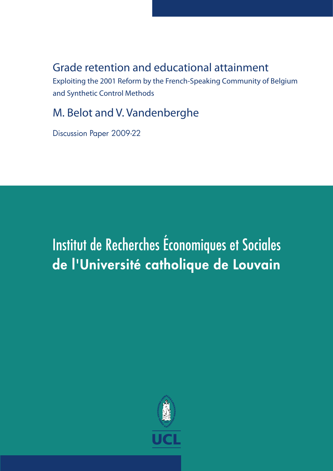# **Grade retention and educational attainment**

**Exploiting the 2001 Reform by the French-Speaking Community of Belgium and Synthetic Control Methods** 

# M. Belot and V. Vandenberghe

Discussion Paper 2009-22

# Institut de Recherches Économiques et Sociales de l'Université catholique de Louvain

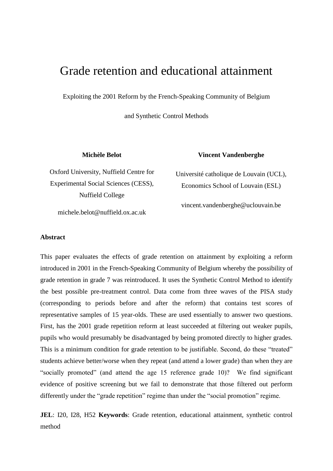# Grade retention and educational attainment

Exploiting the 2001 Reform by the French-Speaking Community of Belgium

and Synthetic Control Methods

**Michèle Belot**

**Vincent Vandenberghe**

Oxford University, Nuffield Centre for Experimental Social Sciences (CESS), Nuffield College

Université catholique de Louvain (UCL), Economics School of Louvain (ESL)

vincent.vandenberghe@uclouvain.be

michele.belot@nuffield.ox.ac.uk

#### **Abstract**

This paper evaluates the effects of grade retention on attainment by exploiting a reform introduced in 2001 in the French-Speaking Community of Belgium whereby the possibility of grade retention in grade 7 was reintroduced. It uses the Synthetic Control Method to identify the best possible pre-treatment control. Data come from three waves of the PISA study (corresponding to periods before and after the reform) that contains test scores of representative samples of 15 year-olds. These are used essentially to answer two questions. First, has the 2001 grade repetition reform at least succeeded at filtering out weaker pupils, pupils who would presumably be disadvantaged by being promoted directly to higher grades. This is a minimum condition for grade retention to be justifiable. Second, do these "treated" students achieve better/worse when they repeat (and attend a lower grade) than when they are "socially promoted" (and attend the age 15 reference grade 10)? We find significant evidence of positive screening but we fail to demonstrate that those filtered out perform differently under the "grade repetition" regime than under the "social promotion" regime.

**JEL**: I20, I28, H52 **Keywords**: Grade retention, educational attainment, synthetic control method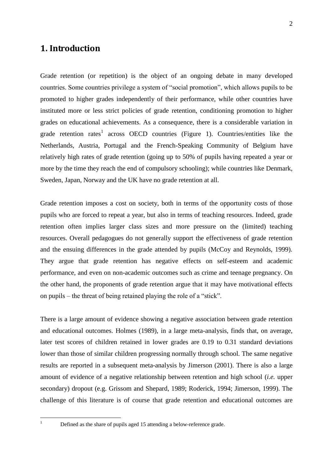### **1. Introduction**

Grade retention (or repetition) is the object of an ongoing debate in many developed countries. Some countries privilege a system of "social promotion", which allows pupils to be promoted to higher grades independently of their performance, while other countries have instituted more or less strict policies of grade retention, conditioning promotion to higher grades on educational achievements. As a consequence, there is a considerable variation in grade retention rates<sup>1</sup> across OECD countries (Figure 1). Countries/entities like the Netherlands, Austria, Portugal and the French-Speaking Community of Belgium have relatively high rates of grade retention (going up to 50% of pupils having repeated a year or more by the time they reach the end of compulsory schooling); while countries like Denmark, Sweden, Japan, Norway and the UK have no grade retention at all.

Grade retention imposes a cost on society, both in terms of the opportunity costs of those pupils who are forced to repeat a year, but also in terms of teaching resources. Indeed, grade retention often implies larger class sizes and more pressure on the (limited) teaching resources. Overall pedagogues do not generally support the effectiveness of grade retention and the ensuing differences in the grade attended by pupils (McCoy and Reynolds, 1999). They argue that grade retention has negative effects on self-esteem and academic performance, and even on non-academic outcomes such as crime and teenage pregnancy. On the other hand, the proponents of grade retention argue that it may have motivational effects on pupils – the threat of being retained playing the role of a "stick".

There is a large amount of evidence showing a negative association between grade retention and educational outcomes. Holmes (1989), in a large meta-analysis, finds that, on average, later test scores of children retained in lower grades are 0.19 to 0.31 standard deviations lower than those of similar children progressing normally through school. The same negative results are reported in a subsequent meta-analysis by Jimerson (2001). There is also a large amount of evidence of a negative relationship between retention and high school (*i.e.* upper secondary) dropout (e.g. Grissom and Shepard, 1989; Roderick, 1994; Jimerson, 1999). The challenge of this literature is of course that grade retention and educational outcomes are

 $\mathbf{1}$ 

<sup>1</sup> Defined as the share of pupils aged 15 attending a below-reference grade.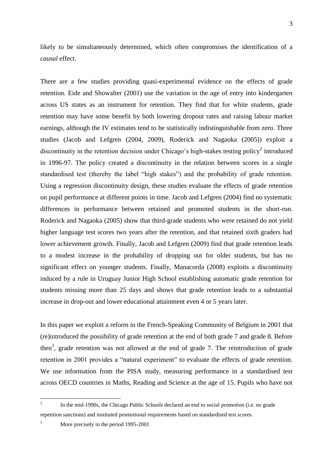likely to be simultaneously determined, which often compromises the identification of a *causal* effect.

There are a few studies providing quasi-experimental evidence on the effects of grade retention. Eide and Showalter (2001) use the variation in the age of entry into kindergarten across US states as an instrument for retention. They find that for white students, grade retention may have some benefit by both lowering dropout rates and raising labour market earnings, although the IV estimates tend to be statistically indistinguishable from zero. Three studies (Jacob and Lefgren (2004, 2009), Roderick and Nagaoka (2005)) exploit a discontinuity in the retention decision under Chicago's high-stakes testing policy<sup>2</sup> introduced in 1996-97. The policy created a discontinuity in the relation between scores in a single standardised test (thereby the label "high stakes") and the probability of grade retention. Using a regression discontinuity design, these studies evaluate the effects of grade retention on pupil performance at different points in time. Jacob and Lefgren (2004) find no systematic differences in performance between retained and promoted students in the short-run. Roderick and Nagaoka (2005) show that third-grade students who were retained do not yield higher language test scores two years after the retention, and that retained sixth graders had lower achievement growth. Finally, Jacob and Lefgren (2009) find that grade retention leads to a modest increase in the probability of dropping out for older students, but has no significant effect on younger students. Finally, Manacorda (2008) exploits a discontinuity induced by a rule in Uruguay Junior High School establishing automatic grade retention for students missing more than 25 days and shows that grade retention leads to a substantial increase in drop-out and lower educational attainment even 4 or 5 years later.

In this paper we exploit a reform in the French-Speaking Community of Belgium in 2001 that (re)introduced the possibility of grade retention at the end of both grade 7 and grade 8. Before then<sup>3</sup>, grade retention was not allowed at the end of grade 7. The reintroduction of grade retention in 2001 provides a "natural experiment" to evaluate the effects of grade retention. We use information from the PISA study, measuring performance in a standardised test across OECD countries in Maths, Reading and Science at the age of 15. Pupils who have not

 $\frac{1}{2}$ In the mid-1990s, the Chicago Public Schools declared an end to social promotion (i.e. no grade repetition sanctions) and instituted promotional requirements based on standardised test scores.

<sup>3</sup> More precisely in the period 1995-2001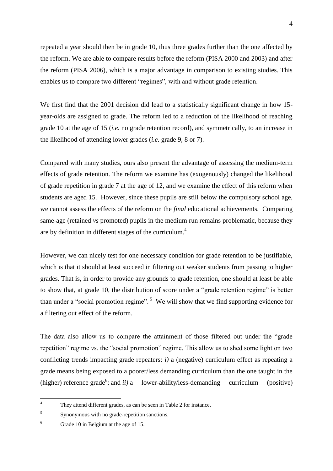repeated a year should then be in grade 10, thus three grades further than the one affected by the reform. We are able to compare results before the reform (PISA 2000 and 2003) and after the reform (PISA 2006), which is a major advantage in comparison to existing studies. This enables us to compare two different "regimes", with and without grade retention.

We first find that the 2001 decision did lead to a statistically significant change in how 15 year-olds are assigned to grade. The reform led to a reduction of the likelihood of reaching grade 10 at the age of 15 (*i.e*. no grade retention record), and symmetrically, to an increase in the likelihood of attending lower grades (*i.e.* grade 9, 8 or 7).

Compared with many studies, ours also present the advantage of assessing the medium-term effects of grade retention. The reform we examine has (exogenously) changed the likelihood of grade repetition in grade 7 at the age of 12, and we examine the effect of this reform when students are aged 15. However, since these pupils are still below the compulsory school age, we cannot assess the effects of the reform on the *final* educational achievements. Comparing same-age (retained *vs* promoted) pupils in the medium run remains problematic, because they are by definition in different stages of the curriculum.<sup>4</sup>

However, we can nicely test for one necessary condition for grade retention to be justifiable, which is that it should at least succeed in filtering out weaker students from passing to higher grades. That is, in order to provide any grounds to grade retention, one should at least be able to show that, at grade 10, the distribution of score under a "grade retention regime" is better than under a "social promotion regime".<sup>5</sup> We will show that we find supporting evidence for a filtering out effect of the reform.

The data also allow us to compare the attainment of those filtered out under the "grade" repetition" regime *vs.* the "social promotion" regime. This allow us to shed some light on two conflicting trends impacting grade repeaters: *i)* a (negative) curriculum effect as repeating a grade means being exposed to a poorer/less demanding curriculum than the one taught in the  $(higher)$  reference grade<sup>6</sup>; and *ii*) a lower-ability/less-demanding curriculum (positive)

 $\overline{A}$ They attend different grades, as can be seen in Table 2 for instance.

<sup>5</sup> Synonymous with no grade-repetition sanctions.

<sup>6</sup> Grade 10 in Belgium at the age of 15.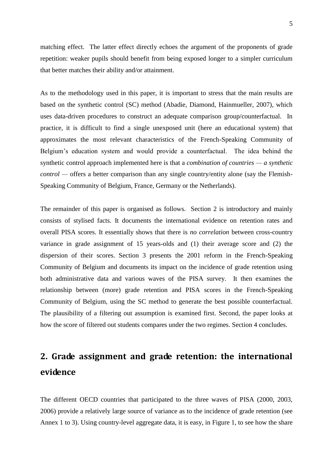matching effect. The latter effect directly echoes the argument of the proponents of grade repetition: weaker pupils should benefit from being exposed longer to a simpler curriculum that better matches their ability and/or attainment.

As to the methodology used in this paper, it is important to stress that the main results are based on the synthetic control (SC) method (Abadie, Diamond, Hainmueller, 2007), which uses data-driven procedures to construct an adequate comparison group/counterfactual. In practice, it is difficult to find a single unexposed unit (here an educational system) that approximates the most relevant characteristics of the French-Speaking Community of Belgium's education system and would provide a counterfactual. The idea behind the synthetic control approach implemented here is that a *combination of countries — a synthetic control —* offers a better comparison than any single country/entity alone (say the Flemish-Speaking Community of Belgium, France, Germany or the Netherlands).

The remainder of this paper is organised as follows. Section 2 is introductory and mainly consists of stylised facts. It documents the international evidence on retention rates and overall PISA scores. It essentially shows that there is *no correlation* between cross-country variance in grade assignment of 15 years-olds and (1) their average score and (2) the dispersion of their scores. Section 3 presents the 2001 reform in the French-Speaking Community of Belgium and documents its impact on the incidence of grade retention using both administrative data and various waves of the PISA survey. It then examines the relationship between (more) grade retention and PISA scores in the French-Speaking Community of Belgium, using the SC method to generate the best possible counterfactual. The plausibility of a filtering out assumption is examined first. Second, the paper looks at how the score of filtered out students compares under the two regimes. Section 4 concludes.

# **2. Grade assignment and grade retention: the international evidence**

The different OECD countries that participated to the three waves of PISA (2000, 2003, 2006) provide a relatively large source of variance as to the incidence of grade retention (see Annex 1 to 3). Using country-level aggregate data, it is easy, in Figure 1, to see how the share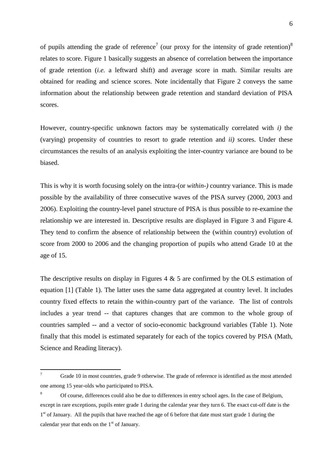6

of pupils attending the grade of reference<sup>7</sup> (our proxy for the intensity of grade retention)<sup>8</sup> relates to score. Figure 1 basically suggests an absence of correlation between the importance of grade retention (*i.e.* a leftward shift) and average score in math. Similar results are obtained for reading and science scores. Note incidentally that Figure 2 conveys the same information about the relationship between grade retention and standard deviation of PISA scores.

However, country-specific unknown factors may be systematically correlated with *i)* the (varying) propensity of countries to resort to grade retention and *ii)* scores. Under these circumstances the results of an analysis exploiting the inter-country variance are bound to be biased.

This is why it is worth focusing solely on the intra-(or *within-)* country variance. This is made possible by the availability of three consecutive waves of the PISA survey (2000, 2003 and 2006). Exploiting the country-level panel structure of PISA is thus possible to re-examine the relationship we are interested in. Descriptive results are displayed in Figure 3 and Figure 4. They tend to confirm the absence of relationship between the (within country) evolution of score from 2000 to 2006 and the changing proportion of pupils who attend Grade 10 at the age of 15.

The descriptive results on display in Figures 4  $\&$  5 are confirmed by the OLS estimation of equation [1] (Table 1). The latter uses the same data aggregated at country level. It includes country fixed effects to retain the within-country part of the variance. The list of controls includes a year trend -- that captures changes that are common to the whole group of countries sampled -- and a vector of socio-economic background variables (Table 1). Note finally that this model is estimated separately for each of the topics covered by PISA (Math, Science and Reading literacy).

 $\overline{7}$ Grade 10 in most countries, grade 9 otherwise. The grade of reference is identified as the most attended one among 15 year-olds who participated to PISA.

<sup>8</sup> Of course, differences could also be due to differences in entry school ages. In the case of Belgium, except in rare exceptions, pupils enter grade 1 during the calendar year they turn 6. The exact cut-off date is the 1<sup>st</sup> of January. All the pupils that have reached the age of 6 before that date must start grade 1 during the calendar year that ends on the  $1<sup>st</sup>$  of January.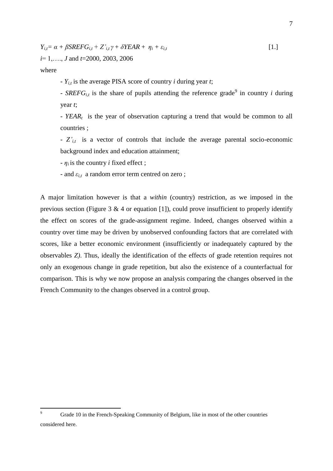$$
Y_{i,t} = \alpha + \beta SREFG_{i,t} + Z'_{i,t} \gamma + \delta YEAR + \eta_i + \varepsilon_{i,t}
$$
  
  $i=1,..., J$  and  $t=2000, 2003, 2006$  [1.]

where

- *Yi,t* is the average PISA score of country *i* during year *t*;

- *SREFG*<sub>*i*,t</sub> is the share of pupils attending the reference grade<sup>9</sup> in country *i* during year *t*;

*- YEAR<sup>t</sup>* is the year of observation capturing a trend that would be common to all countries ;

- *Z'i,t* is a vector of controls that include the average parental socio-economic background index and education attainment;

 $- \eta_i$  is the country *i* fixed effect;

- and  $\varepsilon_{i,t}$  a random error term centred on zero;

A major limitation however is that a *within* (country) restriction, as we imposed in the previous section (Figure 3  $\&$  4 or equation [1]), could prove insufficient to properly identify the effect on scores of the grade-assignment regime. Indeed, changes observed within a country over time may be driven by unobserved confounding factors that are correlated with scores, like a better economic environment (insufficiently or inadequately captured by the observables *Z)*. Thus, ideally the identification of the effects of grade retention requires not only an exogenous change in grade repetition, but also the existence of a counterfactual for comparison. This is why we now propose an analysis comparing the changes observed in the French Community to the changes observed in a control group.

 $\overline{9}$ Grade 10 in the French-Speaking Community of Belgium, like in most of the other countries considered here.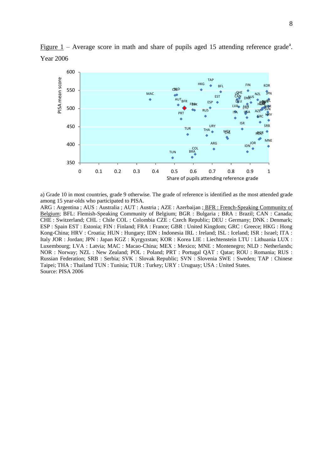

Figure  $1$  – Average score in math and share of pupils aged 15 attending reference grade<sup>a</sup>. Year 2006

a) Grade 10 in most countries, grade 9 otherwise. The grade of reference is identified as the most attended grade among 15 year-olds who participated to PISA.

ARG : Argentina ; AUS : Australia ; AUT : Austria ; AZE : Azerbaijan ; BFR : French-Speaking Community of Belgium; BFL: Flemish-Speaking Community of Belgium; BGR : Bulgaria ; BRA : Brazil; CAN : Canada; CHE : Switzerland; CHL : Chile COL : Colombia CZE : Czech Republic; DEU : Germany; DNK : Denmark; ESP : Spain EST : Estonia; FIN : Finland; FRA : France; GBR : United Kingdom; GRC : Greece; HKG : Hong Kong-China; HRV : Croatia; HUN : Hungary; IDN : Indonesia IRL : Ireland; ISL : Iceland; ISR : Israel; ITA : Italy JOR : Jordan; JPN : Japan KGZ : Kyrgyzstan; KOR : Korea LIE : Liechtenstein LTU : Lithuania LUX : Luxembourg; LVA : Latvia; MAC : Macao-China; MEX : Mexico; MNE : Montenegro; NLD : Netherlands; NOR : Norway; NZL : New Zealand; POL : Poland; PRT : Portugal QAT : Qatar; ROU : Romania; RUS : Russian Federation; SRB : Serbia; SVK : Slovak Republic; SVN : Slovenia SWE : Sweden; TAP : Chinese Taipei; THA : Thailand TUN : Tunisia; TUR : Turkey; URY : Uruguay; USA : United States. Source: PISA 2006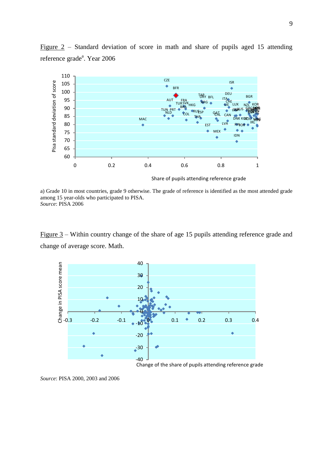

Figure 2 – Standard deviation of score in math and share of pupils aged 15 attending reference grade<sup>a</sup>. Year 2006

a) Grade 10 in most countries, grade 9 otherwise. The grade of reference is identified as the most attended grade among 15 year-olds who participated to PISA. *Source*: PISA 2006

Figure 3 – Within country change of the share of age 15 pupils attending reference grade and change of average score. Math.



*Source*: PISA 2000, 2003 and 2006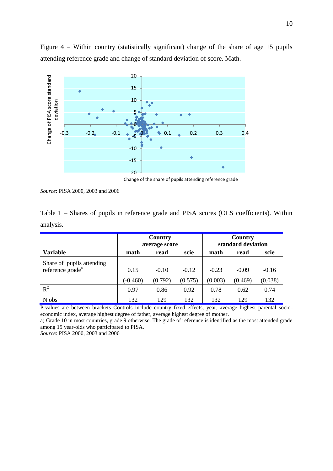

Figure  $4$  – Within country (statistically significant) change of the share of age 15 pupils attending reference grade and change of standard deviation of score. Math.

Change of the share of pupils attending reference grade

*Source*: PISA 2000, 2003 and 2006

|           |  |  |  |  |  | $Table 1$ – Shares of pupils in reference grade and PISA scores (OLS coefficients). Within |  |
|-----------|--|--|--|--|--|--------------------------------------------------------------------------------------------|--|
| analysis. |  |  |  |  |  |                                                                                            |  |

|                                                           |                    | Country<br>average score |                    | Country<br>standard deviation |                    |                    |  |  |
|-----------------------------------------------------------|--------------------|--------------------------|--------------------|-------------------------------|--------------------|--------------------|--|--|
| <b>Variable</b>                                           | math               | read                     | scie               | math                          | read               | scie               |  |  |
| Share of pupils attending<br>reference grade <sup>a</sup> | 0.15<br>$(-0.460)$ | $-0.10$<br>(0.792)       | $-0.12$<br>(0.575) | $-0.23$<br>(0.003)            | $-0.09$<br>(0.469) | $-0.16$<br>(0.038) |  |  |
| $R^2$                                                     | 0.97               | 0.86                     | 0.92               | 0.78                          | 0.62               | 0.74               |  |  |
| N obs                                                     | 132                | 129                      | 132                | 132                           | 129                | 132                |  |  |

P-values are between brackets Controls include country fixed effects, year, average highest parental socioeconomic index, average highest degree of father, average highest degree of mother.

a) Grade 10 in most countries, grade 9 otherwise. The grade of reference is identified as the most attended grade among 15 year-olds who participated to PISA.

*Source*: PISA 2000, 2003 and 2006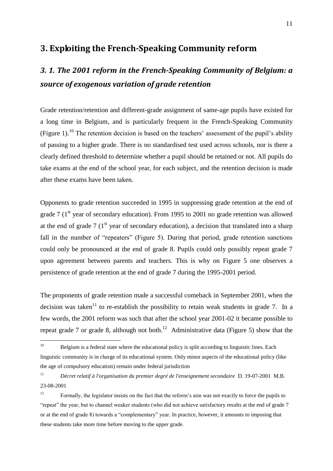### **3. Exploiting the French-Speaking Community reform**

# *3. 1. The 2001 reform in the French-Speaking Community of Belgium: a source of exogenous variation of grade retention*

Grade retention/retention and different-grade assignment of same-age pupils have existed for a long time in Belgium, and is particularly frequent in the French-Speaking Community (Figure 1).<sup>10</sup> The retention decision is based on the teachers' assessment of the pupil's ability of passing to a higher grade. There is no standardised test used across schools, nor is there a clearly defined threshold to determine whether a pupil should be retained or not. All pupils do take exams at the end of the school year, for each subject, and the retention decision is made after these exams have been taken.

Opponents to grade retention succeeded in 1995 in suppressing grade retention at the end of grade 7  $(1<sup>st</sup>$  year of secondary education). From 1995 to 2001 no grade retention was allowed at the end of grade 7  $(1<sup>st</sup>$  year of secondary education), a decision that translated into a sharp fall in the number of "repeaters" (Figure 5). During that period, grade retention sanctions could only be pronounced at the end of grade 8. Pupils could only possibly repeat grade 7 upon agreement between parents and teachers. This is why on Figure 5 one observes a persistence of grade retention at the end of grade 7 during the 1995-2001 period.

The proponents of grade retention made a successful comeback in September 2001, when the decision was taken<sup>11</sup> to re-establish the possibility to retain weak students in grade 7. In a few words, the 2001 reform was such that after the school year 2001-02 it became possible to repeat grade 7 or grade 8, although not both.<sup>12</sup> Administrative data (Figure 5) show that the

 $10\,$ Belgium is a federal state where the educational policy is split according to linguistic lines. Each linguistic community is in charge of its educational system. Only minor aspects of the educational policy (like the age of compulsory education) remain under federal jurisdiction

<sup>11</sup> *Décret relatif à l'organisation du premier degré de l'enseignement secondaire* D. 19-07-2001 M.B. 23-08-2001

<sup>&</sup>lt;sup>12</sup> Formally, the legislator insists on the fact that the reform's aim was not exactly to force the pupils to "repeat" the year, but to channel weaker students (who did not achieve satisfactory results at the end of grade 7 or at the end of grade 8) towards a "complementary" year. In practice, however, it amounts to imposing that these students take more time before moving to the upper grade.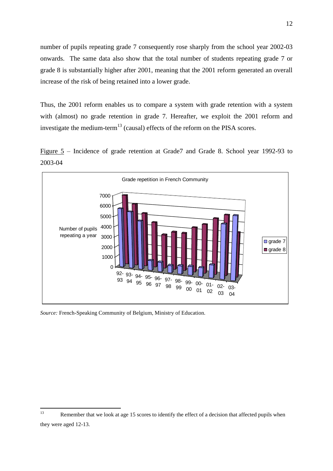number of pupils repeating grade 7 consequently rose sharply from the school year 2002-03 onwards. The same data also show that the total number of students repeating grade 7 or grade 8 is substantially higher after 2001, meaning that the 2001 reform generated an overall increase of the risk of being retained into a lower grade.

Thus, the 2001 reform enables us to compare a system with grade retention with a system with (almost) no grade retention in grade 7. Hereafter, we exploit the 2001 reform and investigate the medium-term<sup>13</sup> (causal) effects of the reform on the PISA scores.

Figure 5 – Incidence of grade retention at Grade7 and Grade 8. School year 1992-93 to 2003-04



*Source:* French-Speaking Community of Belgium, Ministry of Education.

 $13$ Remember that we look at age 15 scores to identify the effect of a decision that affected pupils when they were aged 12-13.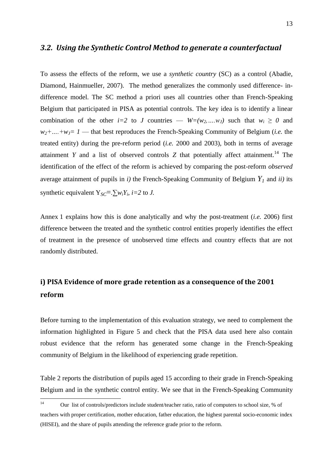#### *3.2. Using the Synthetic Control Method to generate a counterfactual*

To assess the effects of the reform, we use a *synthetic country* (SC) as a control (Abadie, Diamond, Hainmueller, 2007). The method generalizes the commonly used difference- indifference model. The SC method a priori uses all countries other than French-Speaking Belgium that participated in PISA as potential controls. The key idea is to identify a linear combination of the other *i*=2 to *J* countries —  $W=(w_2,...,w_J)$  such that  $w_i \ge 0$  and  $w_2 + ... + w_J = 1$  — that best reproduces the French-Speaking Community of Belgium (*i.e.* the treated entity) during the pre-reform period (*i.e.* 2000 and 2003), both in terms of average attainment *Y* and a list of observed controls *Z* that potentially affect attainment.<sup>14</sup> The identification of the effect of the reform is achieved by comparing the post-reform *observed* average attainment of pupils in *i*) the French-Speaking Community of Belgium  $Y<sub>l</sub>$  and *ii*) its synthetic equivalent  $Y_{SC} = \sum w_i Y_i$ , *i*=2 to *J*.

Annex 1 explains how this is done analytically and why the post-treatment (*i.e.* 2006) first difference between the treated and the synthetic control entities properly identifies the effect of treatment in the presence of unobserved time effects and country effects that are not randomly distributed.

### **i) PISA Evidence of more grade retention as a consequence of the 2001 reform**

Before turning to the implementation of this evaluation strategy, we need to complement the information highlighted in Figure 5 and check that the PISA data used here also contain robust evidence that the reform has generated some change in the French-Speaking community of Belgium in the likelihood of experiencing grade repetition.

Table 2 reports the distribution of pupils aged 15 according to their grade in French-Speaking Belgium and in the synthetic control entity. We see that in the French-Speaking Community

 $14$ <sup>14</sup> Our list of controls/predictors include student/teacher ratio, ratio of computers to school size, % of teachers with proper certification, mother education, father education, the highest parental socio-economic index (HISEI), and the share of pupils attending the reference grade prior to the reform.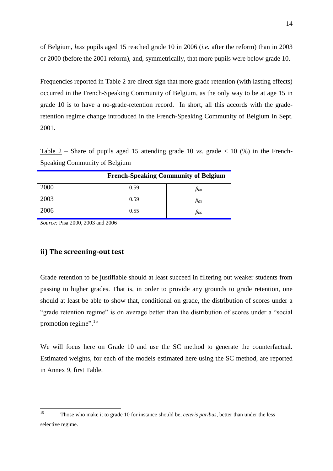of Belgium, *less* pupils aged 15 reached grade 10 in 2006 (*i.e.* after the reform) than in 2003 or 2000 (before the 2001 reform), and, symmetrically, that more pupils were below grade 10.

Frequencies reported in Table 2 are direct sign that more grade retention (with lasting effects) occurred in the French-Speaking Community of Belgium, as the only way to be at age 15 in grade 10 is to have a no-grade-retention record. In short, all this accords with the graderetention regime change introduced in the French-Speaking Community of Belgium in Sept. 2001.

Table 2 – Share of pupils aged 15 attending grade 10 *vs.* grade  $< 10$  (%) in the French-Speaking Community of Belgium

|      |      | <b>French-Speaking Community of Belgium</b> |
|------|------|---------------------------------------------|
| 2000 | 0.59 | $\beta_{00}$                                |
| 2003 | 0.59 | $\beta_{03}$                                |
| 2006 | 0.55 | $\beta_{06}$                                |

*Source:* Pisa 2000, 2003 and 2006

#### **ii) The screening-out test**

Grade retention to be justifiable should at least succeed in filtering out weaker students from passing to higher grades. That is, in order to provide any grounds to grade retention, one should at least be able to show that, conditional on grade, the distribution of scores under a "grade retention regime" is on average better than the distribution of scores under a "social" promotion regime".<sup>15</sup>

We will focus here on Grade 10 and use the SC method to generate the counterfactual. Estimated weights, for each of the models estimated here using the SC method, are reported in Annex 9, first Table.

 $15$ <sup>15</sup> Those who make it to grade 10 for instance should be, *ceteris paribus*, better than under the less selective regime.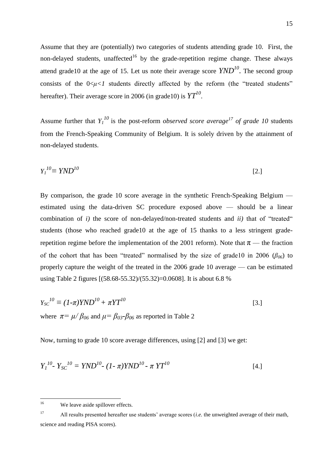Assume that they are (potentially) two categories of students attending grade 10. First, the non-delayed students, unaffected<sup>16</sup> by the grade-repetition regime change. These always attend grade10 at the age of 15. Let us note their average score *YND<sup>10</sup>* . The second group consists of the  $0 \lt u \lt l$  students directly affected by the reform (the "treated students" hereafter). Their average score in 2006 (in grade10) is *YT<sup>10</sup>* .

Assume further that  $Y_I^{10}$  is the post-reform *observed score average*<sup>17</sup> of grade 10 students from the French-Speaking Community of Belgium. It is solely driven by the attainment of non-delayed students.

$$
Y_l^{10} \equiv YND^{10} \tag{2.1}
$$

By comparison, the grade 10 score average in the synthetic French-Speaking Belgium estimated using the data-driven SC procedure exposed above — should be a linear combination of  $i$ ) the score of non-delayed/non-treated students and  $ii$ ) that of "treated" students (those who reached grade10 at the age of 15 thanks to a less stringent graderepetition regime before the implementation of the 2001 reform). Note that  $\pi$  — the fraction of the cohort that has been "treated" normalised by the size of grade10 in 2006 ( $\beta_{06}$ ) to properly capture the weight of the treated in the 2006 grade 10 average — can be estimated using Table 2 figures [(58.68-55.32)/(55.32)=0.0608]. It is about 6.8 %

$$
Y_{SC}^{10} \equiv (1-\pi)YND^{10} + \pi YT^{10}
$$
  
where  $\pi = \mu/\beta_{06}$  and  $\mu = \beta_{03} - \beta_{06}$  as reported in Table 2

Now, turning to grade 10 score average differences, using [2] and [3] we get:

$$
Y_I^{10} - Y_{SC}^{10} = YND^{10} - (1 - \pi)YND^{10} - \pi YT^{10}
$$
 [4.]

<sup>17</sup> All results presented hereafter use students' average scores (*i.e.* the unweighted average of their math, science and reading PISA scores).

<sup>16</sup> We leave aside spillover effects.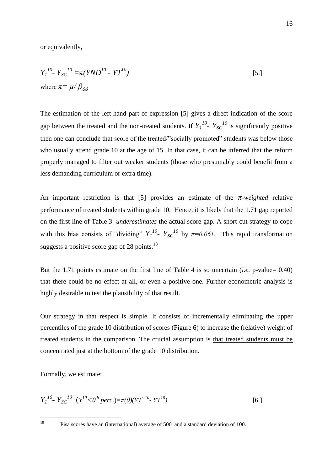or equivalently,

$$
Y_1^{10} - Y_{SC}^{10} = \pi (YND^{10} - YT^{10})
$$
  
where  $\pi = \mu / \beta_{00}$  [5.]

The estimation of the left-hand part of expression [5] gives a direct indication of the score gap between the treated and the non-treated students. If  $Y_I^{10}$ -  $Y_{SC}^{10}$  is significantly positive then one can conclude that score of the treated/"socially promoted" students was below those who usually attend grade 10 at the age of 15. In that case, it can be inferred that the reform properly managed to filter out weaker students (those who presumably could benefit from a less demanding curriculum or extra time).

An important restriction is that [5] provides an estimate of the *π*-*weighted* relative performance of treated students within grade 10. Hence, it is likely that the 1.71 gap reported on the first line of Table 3 *underestimates* the actual score gap. A short-cut strategy to cope with this bias consists of "dividing"  $Y_I^{10}$ -  $Y_{SC}^{10}$  by  $\pi=0.061$ . This rapid transformation suggests a positive score gap of 28 points.<sup>18</sup>

But the 1.71 points estimate on the first line of Table 4 is so uncertain (*i.e.* p-value= 0.40) that there could be no effect at all, or even a positive one. Further econometric analysis is highly desirable to test the plausibility of that result.

Our strategy in that respect is simple. It consists of incrementally eliminating the upper percentiles of the grade 10 distribution of scores (Figure 6) to increase the (relative) weight of treated students in the comparison. The crucial assumption is that treated students must be concentrated just at the bottom of the grade 10 distribution.

Formally, we estimate:

 $\frac{1}{18}$ 

$$
Y_I^{10} - Y_{SC}^{10} \left( \left( Y^{10} \le \theta^h \text{ perc.} \right) = \pi(\theta) \left( Y T^{<10} - Y T^{10} \right) \right) \tag{6.1}
$$

Pisa scores have an (international) average of 500 and a standard deviation of 100.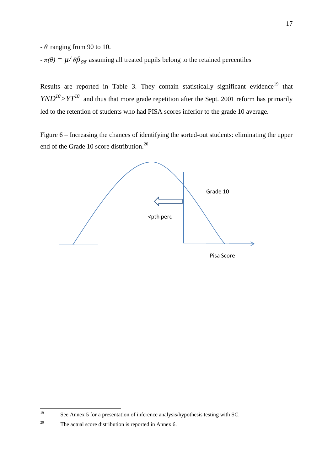*- θ* ranging from 90 to 10.

 $-\pi(\theta) = \mu/\theta \beta_{\theta}$  assuming all treated pupils belong to the retained percentiles

Results are reported in Table 3. They contain statistically significant evidence<sup>19</sup> that  $YND^{10}$  >  $YT^{10}$  and thus that more grade repetition after the Sept. 2001 reform has primarily led to the retention of students who had PISA scores inferior to the grade 10 average.

Figure  $6$  – Increasing the chances of identifying the sorted-out students: eliminating the upper end of the Grade 10 score distribution.<sup>20</sup>



<sup>19</sup> See Annex 5 for a presentation of inference analysis/hypothesis testing with SC.

<sup>&</sup>lt;sup>20</sup> The actual score distribution is reported in Annex 6.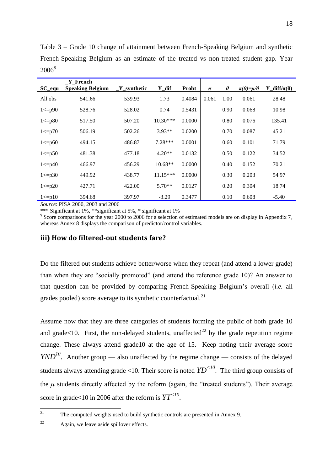| $SC$ <sub>_equ</sub> | Y French<br><b>Speaking Belgium</b> | $Y$ _synthetic | Y dif      | <b>Probt</b> | $\pi$ | $\theta$ | $\pi(\theta) = \mu/\theta$ | Y diff/ $\pi(\theta)$ |
|----------------------|-------------------------------------|----------------|------------|--------------|-------|----------|----------------------------|-----------------------|
| All obs              | 541.66                              | 539.93         | 1.73       | 0.4084       | 0.061 | 1.00     | 0.061                      | 28.48                 |
| 1 < p90              | 528.76                              | 528.02         | 0.74       | 0.5431       |       | 0.90     | 0.068                      | 10.98                 |
| 1 < p80              | 517.50                              | 507.20         | $10.30***$ | 0.0000       |       | 0.80     | 0.076                      | 135.41                |
| 1 < p70              | 506.19                              | 502.26         | $3.93**$   | 0.0200       |       | 0.70     | 0.087                      | 45.21                 |
| 1 < p60              | 494.15                              | 486.87         | $7.28***$  | 0.0001       |       | 0.60     | 0.101                      | 71.79                 |
| $1 < = p50$          | 481.38                              | 477.18         | $4.20**$   | 0.0132       |       | 0.50     | 0.122                      | 34.52                 |
| 1 < p40              | 466.97                              | 456.29         | $10.68**$  | 0.0000       |       | 0.40     | 0.152                      | 70.21                 |
| $1 \le p30$          | 449.92                              | 438.77         | $11.15***$ | 0.0000       |       | 0.30     | 0.203                      | 54.97                 |
| 1 < p20              | 427.71                              | 422.00         | $5.70**$   | 0.0127       |       | 0.20     | 0.304                      | 18.74                 |
| 1 < p10              | 394.68                              | 397.97         | $-3.29$    | 0.3477       |       | 0.10     | 0.608                      | $-5.40$               |

Table 3 – Grade 10 change of attainment between French-Speaking Belgium and synthetic French-Speaking Belgium as an estimate of the treated vs non-treated student gap. Year 2006<sup>\$</sup>

*Source*: PISA 2000, 2003 and 2006

\*\*\* Significant at 1%, \*\*significant at 5%, \* significant at 1%

<sup>\$</sup> Score comparisons for the year 2000 to 2006 for a selection of estimated models are on display in Appendix 7, whereas Annex 8 displays the comparison of predictor/control variables.

#### **iii) How do filtered-out students fare?**

Do the filtered out students achieve better/worse when they repeat (and attend a lower grade) than when they are "socially promoted" (and attend the reference grade 10)? An answer to that question can be provided by comparing French-Speaking Belgium's overall (*i.e.* all grades pooled) score average to its synthetic counterfactual. $^{21}$ 

Assume now that they are three categories of students forming the public of both grade 10 and grade $<10$ . First, the non-delayed students, unaffected<sup>22</sup> by the grade repetition regime change. These always attend grade10 at the age of 15. Keep noting their average score *YND*<sup>10</sup>. Another group — also unaffected by the regime change — consists of the delayed students always attending grade <10. Their score is noted  $YD<sup>{10}</sup>$ . The third group consists of the  $\mu$  students directly affected by the reform (again, the "treated students"). Their average score in grade<10 in 2006 after the reform is *YT<10* .

 $\frac{1}{21}$ The computed weights used to build synthetic controls are presented in Annex 9.

<sup>&</sup>lt;sup>22</sup> Again, we leave aside spillover effects.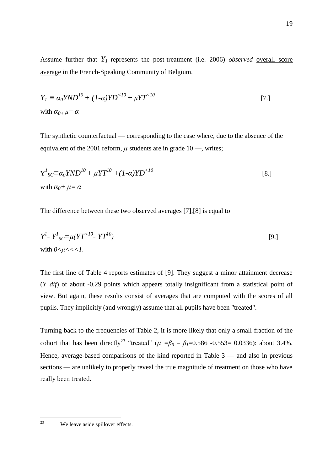$$
Y_I \equiv \alpha_0 YND^{10} + (1-\alpha)YD^{10} + \mu YT^{10}
$$
  
\nwith  $\alpha_{0+} \mu = \alpha$  [7.]

The synthetic counterfactual — corresponding to the case where, due to the absence of the equivalent of the 2001 reform,  $\mu$  students are in grade 10 —, writes;

$$
Y1_{SC} \equiv \alpha_0 YND^{10} + \mu YT^{10} + (1-\alpha)YD^{<10}
$$
  
\nwith  $\alpha_0 + \mu = \alpha$  [8.]

The difference between these two observed averages [7],[8] is equal to

$$
Y1 - Y1_{SC} = \mu (YT<10 - YT10)
$$
  
with  $0 < \mu < < 1$ .

The first line of Table 4 reports estimates of [9]. They suggest a minor attainment decrease (*Y\_dif*) of about -0.29 points which appears totally insignificant from a statistical point of view. But again, these results consist of averages that are computed with the scores of all pupils. They implicitly (and wrongly) assume that all pupils have been "treated".

Turning back to the frequencies of Table 2, it is more likely that only a small fraction of the cohort that has been directly<sup>23</sup> "treated" ( $\mu = \beta_0 - \beta_1 = 0.586 - 0.553 = 0.0336$ ): about 3.4%. Hence, average-based comparisons of the kind reported in Table 3 — and also in previous sections — are unlikely to properly reveal the true magnitude of treatment on those who have really been treated.

 $23$ We leave aside spillover effects.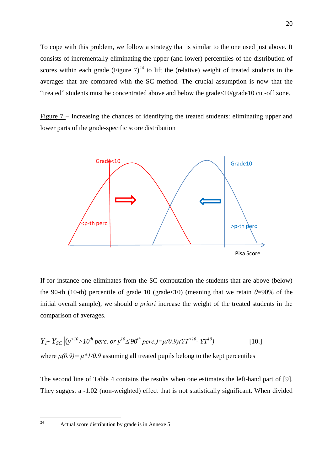To cope with this problem, we follow a strategy that is similar to the one used just above. It consists of incrementally eliminating the upper (and lower) percentiles of the distribution of scores within each grade (Figure  $7)^{24}$  to lift the (relative) weight of treated students in the averages that are compared with the SC method. The crucial assumption is now that the ―treated‖ students must be concentrated above and below the grade<10/grade10 cut-off zone.

Figure 7 – Increasing the chances of identifying the treated students: eliminating upper and lower parts of the grade-specific score distribution



If for instance one eliminates from the SC computation the students that are above (below) the 90-th (10-th) percentile of grade 10 (grade  $(10)$  (meaning that we retain  $\theta$ =90% of the initial overall sample**)**, we should *a priori* increase the weight of the treated students in the comparison of averages.

$$
Y_{1} - Y_{SC} | (y^{<10}>10^{th} \text{ perc. or } y^{10} \le 90^{th} \text{ perc.}) = \mu(0.9)(YT^{<10} - YY^{10})
$$
 [10.]  
where  $\mu(0.9) = \mu * 1/0.9$  assuming all treated pupils belong to the kept percentiles

The second line of Table 4 contains the results when one estimates the left-hand part of [9]. They suggest a -1.02 (non-weighted) effect that is not statistically significant. When divided

 $24$ 

Actual score distribution by grade is in Annexe 5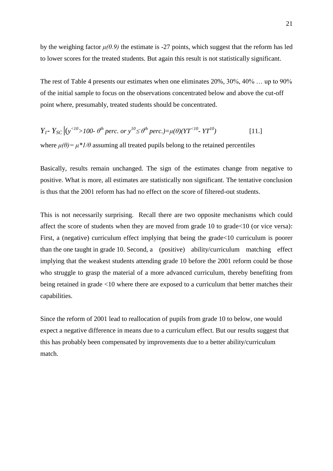by the weighing factor  $\mu(0.9)$  the estimate is -27 points, which suggest that the reform has led to lower scores for the treated students. But again this result is not statistically significant.

The rest of Table 4 presents our estimates when one eliminates 20%, 30%, 40% … up to 90% of the initial sample to focus on the observations concentrated below and above the cut-off point where, presumably, treated students should be concentrated.

$$
Y_{I} - Y_{SC} | (y^{<10}>100 - \theta^{th} \text{ perc. or } y^{10} \le \theta^{th} \text{ perc.}) = \mu(\theta) (YT^{<10} - YT^{10})
$$
 [11.]

where  $\mu(\theta) = \mu^* I/\theta$  assuming all treated pupils belong to the retained percentiles

Basically, results remain unchanged. The sign of the estimates change from negative to positive. What is more, all estimates are statistically non significant. The tentative conclusion is thus that the 2001 reform has had no effect on the score of filtered-out students.

This is not necessarily surprising. Recall there are two opposite mechanisms which could affect the score of students when they are moved from grade 10 to grade<10 (or vice versa): First, a (negative) curriculum effect implying that being the grade<10 curriculum is poorer than the one taught in grade 10. Second, a (positive) ability/curriculum matching effect implying that the weakest students attending grade 10 before the 2001 reform could be those who struggle to grasp the material of a more advanced curriculum, thereby benefiting from being retained in grade <10 where there are exposed to a curriculum that better matches their capabilities.

Since the reform of 2001 lead to reallocation of pupils from grade 10 to below, one would expect a negative difference in means due to a curriculum effect. But our results suggest that this has probably been compensated by improvements due to a better ability/curriculum match.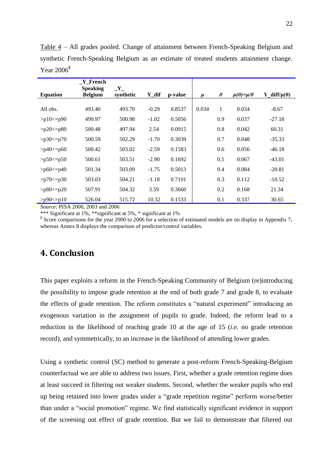| <b>Equation</b> | Y French<br><b>Speaking</b><br><b>Belgium</b> | $\mathbf{Y}_{-}$<br>synthetic | Y dif   | p-value | $\mu$ | $\theta$ | $\mu(\theta) = \mu/\theta$ | $diff/\mu(\theta)$<br>Y |
|-----------------|-----------------------------------------------|-------------------------------|---------|---------|-------|----------|----------------------------|-------------------------|
|                 |                                               |                               |         |         |       |          |                            |                         |
| All obs.        | 493.40                                        | 493.70                        | $-0.29$ | 0.8537  | 0.034 | 1        | 0.034                      | $-8.67$                 |
| $>p10<=p90$     | 499.97                                        | 500.98                        | $-1.02$ | 0.5056  |       | 0.9      | 0.037                      | $-27.18$                |
| $>p20 \le p80$  | 500.48                                        | 497.94                        | 2.54    | 0.0915  |       | 0.8      | 0.042                      | 60.31                   |
| $>p30=$ $p70$   | 500.59                                        | 502.29                        | $-1.70$ | 0.3039  |       | 0.7      | 0.048                      | $-35.33$                |
| $>p40 \le p60$  | 500.42                                        | 503.02                        | $-2.59$ | 0.1583  |       | 0.6      | 0.056                      | $-46.18$                |
| $>p50 \le p50$  | 500.61                                        | 503.51                        | $-2.90$ | 0.1692  |       | 0.5      | 0.067                      | $-43.01$                |
| $>p60 \leq p40$ | 501.34                                        | 503.09                        | $-1.75$ | 0.5013  |       | 0.4      | 0.084                      | $-20.81$                |
| $>p70 \le p30$  | 503.03                                        | 504.21                        | $-1.18$ | 0.7101  |       | 0.3      | 0.112                      | $-10.52$                |
| $>p80 \le p20$  | 507.91                                        | 504.32                        | 3.59    | 0.3660  |       | 0.2      | 0.168                      | 21.34                   |
| $>p90 \leq p10$ | 526.04                                        | 515.72                        | 10.32   | 0.1533  |       | 0.1      | 0.337                      | 30.65                   |

Table 4 – All grades pooled. Change of attainment between French-Speaking Belgium and synthetic French-Speaking Belgium as an estimate of treated students attainment change. Year 2006<sup>\$</sup>

*Source*: PISA 2000, 2003 and 2006

\*\*\* Significant at 1%, \*\*significant at 5%, \* significant at 1%

<sup>\$</sup> Score comparisons for the year 2000 to 2006 for a selection of estimated models are on display in Appendix 7, whereas Annex 8 displays the comparison of predictor/control variables.

### **4. Conclusion**

This paper exploits a reform in the French-Speaking Community of Belgium (re)introducing the possibility to impose grade retention at the end of both grade 7 and grade 8, to evaluate the effects of grade retention. The reform constitutes a "natural experiment" introducing an exogenous variation in the assignment of pupils to grade. Indeed, the reform lead to a reduction in the likelihood of reaching grade 10 at the age of 15 (*i.e.* no grade retention record), and symmetrically, to an increase in the likelihood of attending lower grades.

Using a synthetic control (SC) method to generate a post-reform French-Speaking-Belgium counterfactual we are able to address two issues. First, whether a grade retention regime does at least succeed in filtering out weaker students. Second, whether the weaker pupils who end up being retained into lower grades under a "grade repetition regime" perform worse/better than under a "social promotion" regime. We find statistically significant evidence in support of the screening out effect of grade retention. But we fail to demonstrate that filtered out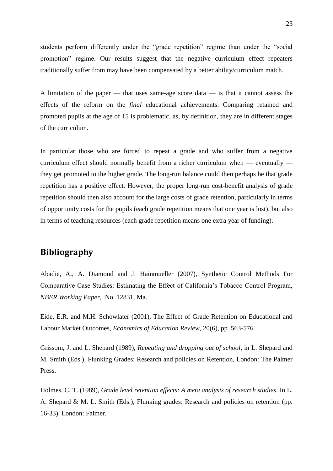students perform differently under the "grade repetition" regime than under the "social promotion" regime. Our results suggest that the negative curriculum effect repeaters traditionally suffer from may have been compensated by a better ability/curriculum match.

A limitation of the paper — that uses same-age score data — is that it cannot assess the effects of the reform on the *final* educational achievements. Comparing retained and promoted pupils at the age of 15 is problematic, as, by definition, they are in different stages of the curriculum.

In particular those who are forced to repeat a grade and who suffer from a negative curriculum effect should normally benefit from a richer curriculum when — eventually they get promoted to the higher grade. The long-run balance could then perhaps be that grade repetition has a positive effect. However, the proper long-run cost-benefit analysis of grade repetition should then also account for the large costs of grade retention, particularly in terms of opportunity costs for the pupils (each grade repetition means that one year is lost), but also in terms of teaching resources (each grade repetition means one extra year of funding).

### **Bibliography**

Abadie, A., A. Diamond and J. Hainmueller (2007), Synthetic Control Methods For Comparative Case Studies: Estimating the Effect of California's Tobacco Control Program, *NBER Working Paper*, No. 12831, Ma.

Eide, E.R. and M.H. Schowlater (2001), The Effect of Grade Retention on Educational and Labour Market Outcomes, *Economics of Education Review*, 20(6), pp. 563-576.

Grissom, J. and L. Shepard (1989), *Repeating and dropping out of school*, in L. Shepard and M. Smith (Eds.), Flunking Grades: Research and policies on Retention, London: The Palmer Press.

Holmes, C. T. (1989), *Grade level retention effects: A meta analysis of research studies*. In L. A. Shepard & M. L. Smith (Eds.), Flunking grades: Research and policies on retention (pp. 16-33). London: Falmer.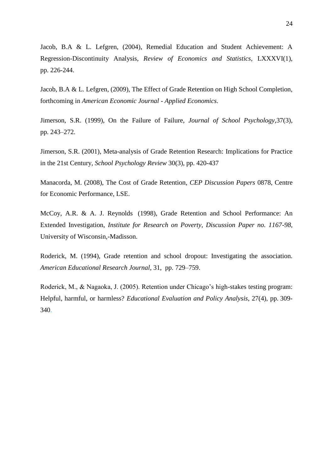Jacob, B.A & L. Lefgren, (2004), Remedial Education and Student Achievement: A Regression-Discontinuity Analysis, *Review of Economics and Statistics,* LXXXVI(1), pp. 226-244.

Jacob, B.A & L. Lefgren, (2009), The Effect of Grade Retention on High School Completion, forthcoming in *American Economic Journal - Applied Economics*.

Jimerson, S.R. (1999), On the Failure of Failure, *Journal of School Psychology*,37(3), pp. 243–272.

Jimerson, S.R. (2001), Meta-analysis of Grade Retention Research: Implications for Practice in the 21st Century, *School Psychology Review* 30(3), pp. 420-437

Manacorda, M. (2008), The Cost of Grade Retention, *CEP Discussion Papers* 0878, Centre for Economic Performance, LSE.

McCoy, A.R. & A. J. Reynolds (1998), Grade Retention and School Performance: An Extended Investigation, *Institute for Research on Poverty, Discussion Paper no. 1167-98,*  University of Wisconsin,-Madisson.

Roderick, M. (1994), Grade retention and school dropout: Investigating the association. *American Educational Research Journal*, 31, pp. 729–759.

Roderick, M., & Nagaoka, J. (2005). Retention under Chicago's high-stakes testing program: Helpful, harmful, or harmless? *Educational Evaluation and Policy Analysis*, 27(4), pp. 309- 340.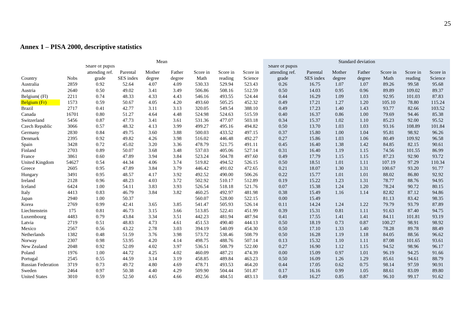#### **Annex 1 – PISA 2000, descriptive statistics**

|                           | Mean        |                 |           |        |        |          |          |          | Standard deviation |           |        |        |          |          |          |
|---------------------------|-------------|-----------------|-----------|--------|--------|----------|----------|----------|--------------------|-----------|--------|--------|----------|----------|----------|
|                           |             | Share of pupils |           |        |        |          |          |          | Share of pupils    |           |        |        |          |          |          |
|                           |             | attending ref.  | Parental  | Mother | Father | Score in | Score in | Score in | attending ref.     | Parental  | Mother | Father | Score in | Score in | Score in |
| Country                   | <b>Nobs</b> | grade           | SES index | degree | degree | Math     | reading  | Science  | grade              | SES index | degree | degree | Math     | reading  | Science  |
| Australia                 | 2859        | 0.92            | 52.64     | 4.07   | 4.09   | 530.33   | 529.94   | 523.43   | 0.26               | 16.75     | 1.07   | 1.07   | 89.26    | 99.58    | 95.68    |
| Austria                   | 2640        | 0.50            | 49.02     | 3.41   | 3.49   | 506.86   | 508.16   | 512.59   | 0.50               | 14.03     | 0.95   | 0.96   | 89.89    | 109.02   | 89.37    |
| Belgium((Fl)              | 2211        | 0.74            | 48.33     | 4.33   | 4.43   | 546.16   | 493.55   | 524.44   | 0.44               | 16.29     | 1.09   | 1.03   | 92.95    | 101.03   | 87.83    |
| Belgium (Fr)              | 1573        | 0.59            | 50.67     | 4.05   | 4.20   | 493.60   | 505.25   | 452.32   | 0.49               | 17.21     | 1.27   | 1.20   | 105.10   | 78.80    | 115.24   |
| <b>Brazil</b>             | 2717        | 0.41            | 42.77     | 3.11   | 3.13   | 320.05   | 549.54   | 388.10   | 0.49               | 17.23     | 1.40   | 1.43   | 93.77    | 82.66    | 103.52   |
| Canada                    | 16701       | 0.80            | 51.27     | 4.64   | 4.48   | 524.98   | 524.63   | 515.59   | 0.40               | 16.37     | 0.86   | 1.00   | 79.69    | 94.46    | 85.38    |
| Switzerland               | 5456        | 0.87            | 47.73     | 3.41   | 3.61   | 531.36   | 477.07   | 503.18   | 0.34               | 15.37     | 1.02   | 1.10   | 85.23    | 92.00    | 95.52    |
| Czech Republic            | 3066        | 0.57            | 48.32     | 4.13   | 3.99   | 499.27   | 495.16   | 494.82   | 0.50               | 13.70     | 1.03   | 1.03   | 93.16    | 108.89   | 101.84   |
| Germany                   | 2830        | 0.84            | 49.75     | 3.60   | 3.88   | 500.03   | 433.52   | 497.15   | 0.37               | 15.80     | 1.00   | 1.04   | 95.81    | 98.92    | 96.26    |
| Denmark                   | 2395        | 0.92            | 49.82     | 4.26   | 3.98   | 516.02   | 446.48   | 492.27   | 0.27               | 15.86     | 1.03   | 1.06   | 80.49    | 109.92   | 96.58    |
| Spain                     | 3428        | 0.72            | 45.02     | 3.20   | 3.36   | 478.79   | 521.75   | 491.11   | 0.45               | 16.40     | 1.38   | 1.42   | 84.85    | 82.15    | 90.61    |
| Finland                   | 2703        | 0.89            | 50.07     | 3.68   | 3.48   | 537.03   | 405.06   | 527.14   | 0.31               | 16.40     | 1.19   | 1.15   | 74.56    | 101.55   | 86.99    |
| France                    | 3861        | 0.60            | 47.89     | 3.94   | 3.84   | 523.24   | 504.78   | 497.60   | 0.49               | 17.79     | 1.15   | 1.15   | 87.23    | 92.90    | 93.72    |
| United Kingdom            | 54627       | 0.54            | 44.34     | 4.06   | 3.74   | 519.82   | 494.52   | 526.15   | 0.50               | 18.51     | 1.01   | 1.11   | 107.19   | 97.29    | 110.34   |
| Greece                    | 2605        | 0.95            | 47.89     | 3.84   | 3.79   | 446.42   | 491.02   | 472.65   | 0.21               | 18.07     | 1.30   | 1.31   | 100.67   | 93.20    | 91.77    |
| Hungary                   | 3491        | 0.95            | 48.57     | 4.17   | 3.92   | 492.52   | 490.00   | 506.26   | 0.22               | 15.77     | 1.01   | 1.01   | 88.02    | 86.80    | 92.92    |
| Ireland                   | 2128        | 0.96            | 48.23     | 4.03   | 3.72   | 502.92   | 510.17   | 512.89   | 0.19               | 15.22     | 1.23   | 1.31   | 78.77    | 88.76    | 94.95    |
| Iceland                   | 6424        | 1.00            | 54.11     | 3.83   | 3.93   | 526.54   | 518.18   | 521.76   | $0.07\,$           | 15.38     | 1.24   | 1.20   | 78.24    | 90.72    | 80.15    |
| Italy                     | 4413        | 0.83            | 46.79     | 3.84   | 3.82   | 460.25   | 492.97   | 481.98   | 0.38               | 15.49     | 1.16   | 1.14   | 82.82    | 87.12    | 94.86    |
| Japan                     | 2940        | 1.00            | 50.37     |        |        | 560.07   | 528.00   | 522.15   | 0.00               | 15.49     |        |        | 81.13    | 83.42    | 98.35    |
| Korea                     | 2769        | 0.99            | 42.41     | 3.65   | 3.85   | 541.47   | 505.93   | 526.14   | 0.11               | 14.24     | 1.24   | 1.22   | 79.79    | 93.79    | 87.89    |
| Liechtenstein             | 175         | 0.81            | 46.73     | 3.15   | 3.66   | 513.85   | 522.41   | 451.99   | 0.39               | 15.31     | 0.81   | 1.11   | 91.63    | 87.40    | 94.75    |
| Luxembourg                | 4483        | 0.79            | 43.84     | 3.34   | 3.51   | 442.23   | 481.94   | 487.94   | 0.41               | 17.55     | 1.41   | 1.41   | 84.11    | 101.81   | 93.19    |
| Latvia                    | 2719        | 0.51            | 48.83     | 4.73   | 4.61   | 451.53   | 490.40   | 444.13   | 0.50               | 18.19     | 0.73   | 0.87   | 100.27   | 98.91    | 98.92    |
| Mexico                    | 2567        | 0.56            | 43.22     | 2.78   | 3.03   | 394.19   | 540.09   | 454.30   | 0.50               | 17.10     | 1.33   | 1.40   | 78.28    | 89.78    | 88.49    |
| Netherlands               | 1382        | 0.48            | 51.59     | 3.76   | 3.98   | 573.72   | 538.46   | 508.79   | 0.50               | 16.28     | 1.19   | 1.18   | 84.05    | 88.56    | 96.62    |
| Norway                    | 2307        | 0.98            | 53.95     | 4.20   | 4.14   | 498.75   | 488.76   | 507.14   | 0.13               | 15.32     | 1.10   | 1.11   | 87.08    | 101.65   | 93.61    |
| New Zealand               | 2048        | 0.92            | 52.09     | 4.02   | 3.97   | 536.51   | 508.79   | 522.00   | 0.27               | 16.90     | 1.12   | 1.15   | 94.52    | 98.96    | 96.17    |
| Poland                    | 1976        | 1.00            | 44.72     | 4.25   | 4.02   | 460.09   | 487.21   | 474.39   | 0.00               | 15.09     | 0.97   | 1.01   | 96.19    | 94.25    | 91.66    |
| Portugal                  | 2545        | 0.55            | 44.59     | 3.14   | 3.19   | 458.85   | 489.84   | 463.23   | 0.50               | 16.09     | 1.26   | 1.29   | 85.61    | 94.61    | 88.79    |
| <b>Russian Federation</b> | 3719        | 0.73            | 49.72     | 4.80   | 4.69   | 478.71   | 493.53   | 464.20   | 0.44               | 17.05     | 0.62   | 0.75   | 98.14    | 97.59    | 90.91    |
| Sweden                    | 2464        | 0.97            | 50.38     | 4.40   | 4.29   | 509.90   | 504.44   | 501.87   | 0.17               | 16.16     | 0.99   | 1.05   | 88.61    | 83.09    | 89.80    |
| <b>United States</b>      | 3010        | 0.59            | 52.50     | 4.65   | 4.66   | 492.56   | 484.51   | 483.13   | 0.49               | 16.27     | 0.85   | 0.87   | 96.10    | 99.17    | 91.62    |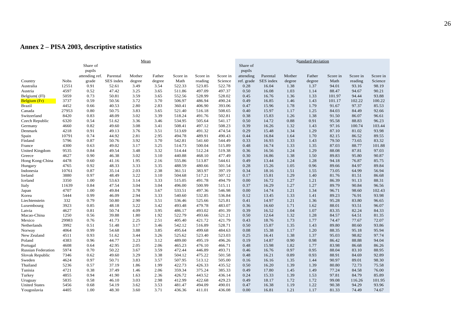#### **Annex 2 – PISA 2003, descriptive statistics**

|                           | Mean        |                    |           |        |        |          |          |          | Standard deviation |           |        |        |          |          |          |
|---------------------------|-------------|--------------------|-----------|--------|--------|----------|----------|----------|--------------------|-----------|--------|--------|----------|----------|----------|
|                           |             | Share of<br>pupils |           |        |        |          |          |          | Share of<br>pupils |           |        |        |          |          |          |
|                           |             | attending ref.     | Parental  | Mother | Father | Score in | Score in | Score in | attending          | Parental  | Mother | Father | Score in | Score in | Score in |
| Country                   | <b>Nobs</b> | grade              | SES index | degree | degree | Math     | reading  | Science  | ref. grade         | SES index | degree | degree | Math     | reading  | Science  |
| Australia                 | 12551       | 0.91               | 52.61     | 3.49   | 3.54   | 522.33   | 523.85   | 522.78   | 0.28               | 16.04     | 1.38   | 1.37   | 94.01    | 93.16    | 98.19    |
| Austria                   | 4597        | 0.52               | 47.42     | 3.25   | 3.65   | 511.86   | 497.09   | 497.37   | 0.50               | 16.08     | 1.03   | 1.14   | 88.47    | 94.67    | 90.21    |
| Belgium((Fl)              | 5059        | 0.73               | 50.81     | 3.59   | 3.65   | 552.56   | 528.99   | 528.02   | 0.45               | 16.76     | 1.36   | 1.33   | 101.97   | 94.44    | 93.88    |
| Belgium (Fr)              | 3737        | 0.59               | 50.56     | 3.72   | 3.70   | 506.97   | 486.94   | 490.24   | 0.49               | 16.85     | 1.46   | 1.43   | 101.17   | 102.22   | 100.22   |
| <b>Brazil</b>             | 4452        | 0.66               | 40.53     | 2.80   | 2.83   | 360.41   | 406.90   | 393.06   | 0.47               | 15.96     | 1.78   | 1.79   | 91.67    | 97.37    | 85.53    |
| Canada                    | 27953       | 0.80               | 50.75     | 3.83   | 3.65   | 521.40   | 516.18   | 508.65   | 0.40               | 15.97     | 1.17   | 1.25   | 84.03    | 84.49    | 92.66    |
| Switzerland               | 8420        | 0.83               | 48.09     | 3.02   | 3.39   | 518.24   | 491.76   | 502.81   | 0.38               | 15.83     | 1.26   | 1.38   | 91.50    | 86.07    | 96.61    |
| Czech Republic            | 6320        | 0.54               | 51.62     | 3.36   | 3.46   | 534.95   | 505.64   | 541.17   | 0.50               | 14.72     | 0.88   | 0.91   | 95.58    | 88.83    | 96.23    |
| Germany                   | 4660        | 0.82               | 49.60     | 3.08   | 3.41   | 508.41   | 497.12   | 508.23   | 0.39               | 16.26     | 1.32   | 1.43   | 97.16    | 100.74   | 103.44   |
| Denmark                   | 4218        | 0.91               | 49.13     | 3.76   | 3.51   | 513.69   | 491.32   | 474.54   | 0.29               | 15.48     | 1.34   | 1.29   | 87.10    | 81.02    | 93.98    |
| Spain                     | 10791       | 0.74               | 44.92     | 2.81   | 2.95   | 494.78   | 489.91   | 490.43   | 0.44               | 16.84     | 1.64   | 1.70   | 82.15    | 86.52    | 89.55    |
| Finland                   | 5796        | 0.87               | 50.76     | 3.92   | 3.70   | 542.81   | 541.60   | 544.49   | 0.33               | 16.93     | 1.33   | 1.43   | 79.50    | 73.65    | 83.32    |
| France                    | 4300        | 0.63               | 49.02     | 3.17   | 3.25   | 514.73   | 500.04   | 515.89   | 0.48               | 16.74     | 1.33   | 1.35   | 87.03    | 88.77    | 101.88   |
| United Kingdom            | 9535        | 0.84               | 49.54     | 3.48   | 3.32   | 514.44   | 512.24   | 519.38   | 0.36               | 16.56     | 1.24   | 1.29   | 88.08    | 87.81    | 97.03    |
| Greece                    | 4627        | 0.90               | 46.38     | 3.02   | 3.10   | 440.88   | 468.10   | 477.49   | 0.30               | 16.86     | 1.38   | 1.50   | 89.83    | 95.80    | 90.87    |
| Hong Kong-China           | 4478        | 0.60               | 41.16     | 1.95   | 2.16   | 555.86   | 513.87   | 544.61   | 0.49               | 13.44     | 1.24   | 1.28   | 94.18    | 76.87    | 85.75    |
| Hungary                   | 4765        | 0.92               | 48.33     | 3.33   | 3.35   | 488.59   | 480.66   | 501.54   | 0.28               | 15.26     | 1.05   | 0.96   | 89.66    | 84.97    | 89.84    |
| Indonesia                 | 10761       | 0.87               | 35.14     | 2.03   | 2.38   | 361.51   | 383.97   | 397.19   | 0.34               | 18.16     | 1.51   | 1.55   | 73.05    | 64.99    | 56.94    |
| Ireland                   | 3880        | 0.97               | 48.49     | 3.22   | 3.10   | 504.68   | 517.21   | 507.12   | 0.17               | 15.81     | 1.29   | 1.40   | 81.76    | 81.51    | 86.68    |
| Iceland                   | 3350        | 1.00               | 53.63     | 3.14   | 3.33   | 515.05   | 491.78   | 494.79   | 0.00               | 16.72     | 1.27   | 1.21   | 86.39    | 91.13    | 88.31    |
| Italy                     | 11639       | 0.84               | 47.54     | 3.04   | 3.04   | 496.00   | 500.99   | 515.11   | 0.37               | 16.29     | 1.27   | 1.27   | 89.79    | 90.84    | 96.56    |
| Japan                     | 4707        | 1.00               | 49.84     | 3.78   | 3.67   | 533.51   | 497.36   | 546.98   | 0.00               | 14.74     | 1.21   | 1.34   | 96.71    | 98.60    | 102.43   |
| Korea                     | 5444        | 0.99               | 46.09     | 2.94   | 3.33   | 540.60   | 532.85   | 536.84   | 0.12               | 13.45     | 1.33   | 1.41   | 89.23    | 76.91    | 93.98    |
| Liechtenstein             | 332         | 0.79               | 50.80     | 2.90   | 3.51   | 536.46   | 525.66   | 525.81   | 0.41               | 14.97     | 1.21   | 1.36   | 95.28    | 83.80    | 96.65    |
| Luxembourg                | 3923        | 0.85               | 48.18     | 3.22   | 3.42   | 493.48   | 479.78   | 483.07   | 0.36               | 16.60     | 1.71   | 1.62   | 88.01    | 93.51    | 96.07    |
| Latvia                    | 4627        | 0.81               | 50.74     | 4.09   | 3.95   | 486.17   | 493.02   | 491.39   | 0.39               | 16.52     | 1.04   | 1.07   | 83.35    | 82.24    | 84.33    |
| Macao-China               | 1250        | 0.56               | 39.88     | 1.80   | 1.92   | 522.79   | 493.66   | 521.21   | 0.50               | 12.64     | 1.32   | 1.28   | 84.57    | 64.51    | 81.35    |
| Mexico                    | 29983       | 0.76               | 41.73     | 2.25   | 2.51   | 405.40   | 421.72   | 421.79   | 0.43               | 18.76     | 1.73   | 1.77   | 74.47    | 77.67    | 72.07    |
| Netherlands               | 3992        | 0.51               | 51.48     | 3.17   | 3.46   | 542.12   | 516.89   | 528.71   | 0.50               | 15.87     | 1.35   | 1.43   | 89.80    | 80.60    | 93.86    |
| Norway                    | 4064        | 0.99               | 54.68     | 3.88   | 3.85   | 495.64   | 499.68   | 484.63   | 0.08               | 15.38     | 1.17   | 1.20   | 88.35    | 95.18    | 95.94    |
| New Zealand               | 4511        | 0.93               | 51.62     | 3.44   | 3.26   | 525.62   | 523.40   | 523.03   | 0.25               | 16.41     | 1.38   | 1.37   | 95.03    | 98.82    | 97.74    |
| Poland                    | 4383        | 0.96               | 44.77     | 3.23   | 3.12   | 489.00   | 495.19   | 496.26   | 0.19               | 14.87     | 0.90   | 0.98   | 86.42    | 88.88    | 94.04    |
| Portugal                  | 4608        | 0.64               | 42.95     | 2.05   | 2.06   | 465.23   | 476.10   | 466.71   | 0.48               | 15.98     | 1.82   | 1.77   | 83.98    | 86.68    | 86.26    |
| <b>Russian Federation</b> | 5974        | 0.70               | 50.22     | 3.67   | 3.59   | 472.44   | 446.89   | 493.71   | 0.46               | 16.76     | 0.97   | 0.95   | 88.04    | 83.10    | 88.95    |
| Slovak Republic           | 7346        | 0.62               | 49.60     | 3.29   | 3.38   | 504.12   | 475.22   | 501.58   | 0.48               | 16.21     | 0.89   | 0.93   | 88.91    | 84.69    | 92.89    |
| Sweden                    | 4624        | 0.97               | 50.71     | 3.83   | 3.57   | 507.95   | 513.12   | 505.00   | 0.16               | 16.16     | 1.35   | 1.44   | 90.97    | 89.01    | 98.30    |
| Thailand                  | 5236        | 0.57               | 37.19     | 1.86   | 1.99   | 422.73   | 426.33   | 435.52   | 0.50               | 16.20     | 1.39   | 1.39   | 80.80    | 72.73    | 75.58    |
| Tunisia                   | 4721        | 0.38               | 37.49     | 1.46   | 2.06   | 359.34   | 375.24   | 385.33   | 0.49               | 17.80     | 1.45   | 1.49   | 77.24    | 84.58    | 76.00    |
| Turkey                    | 4855        | 0.94               | 41.90     | 1.63   | 2.36   | 426.72   | 443.52   | 436.14   | 0.24               | 15.33     | 1.39   | 1.53   | 97.81    | 84.79    | 85.89    |
| Uruguay                   | 5835        | 0.58               | 46.10     | 3.03   | 2.98   | 412.99   | 422.68   | 429.23   | 0.49               | 18.17     | 1.72   | 1.72   | 99.08    | 116.26   | 101.95   |
| <b>United States</b>      | 5456        | 0.68               | 54.19     | 3.62   | 3.53   | 481.47   | 494.09   | 490.01   | 0.47               | 16.38     | 1.19   | 1.22   | 90.38    | 94.29    | 93.96    |
| Yougoslavia               | 4405        | 1.00               | 48.30     | 3.60   | 3.71   | 436.36   | 411.01   | 436.08   | 0.00               | 16.81     | 1.21   | 1.17   | 81.33    | 74.49    | 74.67    |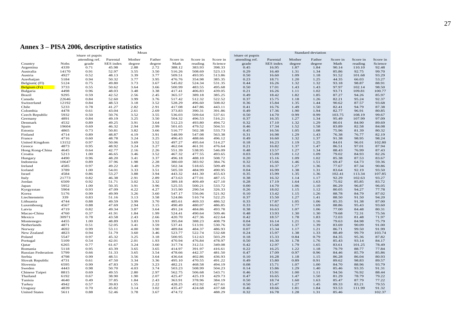#### **Annex 3 – PISA 2006, descriptive statistics**

|                                 | Mean          |                                   |                |              |              |                  |                  | <b>Standard</b> deviation<br>Share of pupils |                |                |              |              |                |                 |                |
|---------------------------------|---------------|-----------------------------------|----------------|--------------|--------------|------------------|------------------|----------------------------------------------|----------------|----------------|--------------|--------------|----------------|-----------------|----------------|
|                                 |               | Share of pupils<br>attending ref. | Parental       | Mother       | Father       | Score in         | Score in         | Score in                                     | attending ref. | Parental       | Mother       | Father       | Score in       | Score in        | Score in       |
| Country                         | <b>Nobs</b>   | grade                             | SES index      | degree       | degree       | Math             | reading          | Science                                      | grade          | SES index      | degree       | degree       | Math           | reading         | Science        |
| Argentina                       | 4339          | 0.71                              | 45.98          | 2.88         | 2.72         | 388.12           | 383.93           | 398.33                                       | 0.45           | 16.95          | 1.87         | 1.84         | 90.14          | 110.10          | 92.48          |
| Australia                       | 14170         | 0.91                              | 52.97          | 3.55         | 3.50         | 516.26           | 508.69           | 523.13                                       | 0.29           | 16.40          | 1.31         | 1.34         | 85.86          | 92.75           | 99.70          |
| Austria                         | 4927          | 0.52                              | 48.13          | 3.39         | 3.77         | 509.51           | 493.95           | 513.86                                       | 0.50           | 16.60          | 1.09         | 1.18         | 91.52          | 101.68          | 93.29          |
| Azerbaijan                      | 5184          | 0.94                              | 50.32          | 3.77         | 3.95         | 476.76           | 354.98           | 385.35                                       | 0.23           | 18.71          | 1.20         | 1.25         | 44.35          | 66.03           | 53.27          |
| Belgium((Fl)                    | 5124          | 0.75                              | 49.80          | 3.73         | 3.67         | 545.82           | 524.34           | 531.35                                       | 0.44           | 16.26          | 1.32         | 1.32         | 93.18          | 98.87           | 88.91          |
| Belgium (Fr)                    | 3733          | 0.55                              | 50.62          | 3.64         | 3.66         | 500.99           | 483.55           | 495.68                                       | 0.50           | 17.01          | 1.43         | 1.43         | 97.97          | 102.14          | 98.50          |
| Bulgaria                        | 4498          | 0.96                              | 48.03          | 3.48         | 3.38         | 417.41           | 406.83           | 439.05                                       | 0.21           | 16.26          | 1.11         | 1.02         | 93.71          | 109.81          | 100.77         |
| Brazil                          | 9295<br>22646 | 0.59                              | 42.52<br>52.60 | 2.56         | 2.45         | 365.57           | 389.18           | 385.25<br>522.52                             | 0.49<br>0.37   | 18.42          | 1.82<br>1.18 | 1.85<br>1.26 | 87.27<br>82.21 | 94.26           | 85.97<br>92.37 |
| Canada<br>Switzerland           | 12192         | 0.84<br>0.84                      | 48.53          | 3.99<br>3.18 | 3.76<br>3.52 | 517.42<br>528.29 | 512.32<br>496.60 | 508.02                                       | 0.36           | 15.75<br>15.84 | 1.35         | 1.44         | 90.62          | 95.24<br>87.57  | 93.68          |
| Chile                           | 5233          | 0.78                              | 41.27          | 2.82         | 2.91         | 417.08           | 447.86           | 443.11                                       | 0.41           | 16.76          | 1.49         | 1.50         | 82.41          | 94.79           | 87.38          |
| Colombia                        | 4478          | 0.61                              | 43.04          | 2.61         | 2.69         | 373.83           | 390.31           | 391.86                                       | 0.49           | 17.36          | 1.90         | 1.94         | 82.77          | 96.91           | 80.85          |
| Czech Republic                  | 5932          | 0.50                              | 50.76          | 3.52         | 3.55         | 536.03           | 509.64           | 537.61                                       | 0.50           | 14.70          | 0.99         | 0.99         | 103.75         | 108.19          | 99.67          |
| Germany                         | 4891          | 0.84                              | 49.19          | 3.25         | 3.50         | 504.32           | 496.53           | 516.21                                       | 0.37           | 16.35          | 1.27         | 1.34         | 95.49          | 107.99          | 97.09          |
| Denmark                         | 4532          | 0.89                              | 49.25          | 3.91         | 3.64         | 512.23           | 493.80           | 494.72                                       | 0.32           | 17.10          | 1.32         | 1.29         | 80.01          | 84.90           | 89.69          |
| Spain                           | 19604         | 0.69                              | 46.32          | 2.94         | 2.99         | 501.65           | 479.52           | 504.51                                       | 0.46           | 17.34          | 1.52         | 1.58         | 83.89          | 82.58           | 84.08          |
| Estonia                         | 4865          | 0.73                              | 50.81          | 3.82         | 3.66         | 516.77           | 502.38           | 533.73                                       | 0.45           | 16.56          | 1.05         | 1.08         | 75.96          | 81.39           | 80.32          |
| Finland                         | 4714          | 0.89                              | 48.87          | 4.19         | 3.91         | 548.99           | 547.08           | 563.38                                       | 0.31           | 16.98          | 1.29         | 1.43         | 76.38          | 76.77           | 82.19          |
| France                          | 4716          | 0.60                              | 48.78          | 3.24         | 3.25         | 496.43           | 488.66           | 496.12                                       | 0.49           | 16.60          | 1.32         | 1.37         | 91.38          | 98.95           | 98.24          |
| United Kingdom                  | 13152         | 0.97                              | 50.06          | 3.69         | 3.52         | 497.27           | 495.64           | 514.27                                       | 0.18           | 16.23          | 1.19         | 1.25         | 84.01          | 96.01           | 102.80         |
| Greece                          | 4873          | 0.95                              | 48.92          | 3.24         | 3.27         | 462.04           | 461.91           | 476.64                                       | 0.21           | 16.82          | 1.37         | 1.47         | 86.51          | 97.01           | 87.94          |
| Hong Kong-China                 | 4645          | 0.64                              | 42.77          | 2.16         | 2.26         | 551.39           | 538.95           | 546.09                                       | 0.48           | 13.57          | 1.27         | 1.34         | 88.43          | 76.99           | 87.43          |
| Croatia                         | 5213          | 1.00                              | 46.65          | 3.46         | 3.52         | 467.32           | 477.55           | 493.65                                       | 0.03           | 15.09          | 1.12         | 1.09         | 79.02          | 84.93           | 82.26          |
| Hungary<br>Indonesia            | 4490<br>10647 | 0.96<br>0.89                      | 48.20<br>37.96 | 3.41<br>1.98 | 3.37<br>2.28 | 496.18<br>380.69 | 488.10<br>383.92 | 508.72<br>384.76                             | 0.20<br>0.32   | 15.16<br>15.66 | 1.09<br>1.46 | 1.02<br>1.51 | 85.38<br>69.47 | 87.53<br>64.73  | 83.67<br>59.36 |
| Ireland                         | 4585          | 0.97                              | 49.22          | 3.40         | 3.29         | 502.34           | 518.65           | 509.49                                       | 0.16           | 16.37          | 1.27         | 1.36         | 77.67          | 87.34           | 90.86          |
| Iceland                         | 3789          | 1.00                              | 54.01          | 3.33         | 3.51         | 505.59           | 484.99           | 490.95                                       | 0.04           | 16.99          | 1.38         | 1.31         | 83.64          | 92.19           | 93.50          |
| Israel                          | 4584          | 0.86                              | 53.27          | 3.88         | 3.94         | 443.32           | 441.30           | 455.63                                       | 0.35           | 15.99          | 1.35         | 1.36         | 102.41         | 113.34          | 107.85         |
| Italy                           | 21773         | 0.82                              | 46.38          | 2.91         | 2.89         | 473.63           | 477.01           | 487.15                                       | 0.38           | 16.32          | 1.14         | 1.17         | 92.29          | 102.63          | 93.27          |
| Jordan                          | 6509          | 0.92                              | 51.71          | 3.02         | 3.32         | 389.18           | 409.49           | 427.10                                       | 0.28           | 17.19          | 1.64         | 1.63         | 75.92          | 85.85           | 83.72          |
| Japan                           | 5952          | 1.00                              | 50.35          | 3.91         | 3.96         | 525.55           | 500.21           | 533.72                                       | 0.00           | 14.70          | 1.06         | 1.10         | 86.29          | 96.87           | 96.05          |
| Kyrgyzstan                      | 5904          | 0.93                              | 47.09          | 4.22         | 4.27         | 315.90           | 290.54           | 326.33                                       | 0.26           | 18.02          | 1.15         | 1.12         | 80.05          | 94.27           | 77.78          |
| Korea                           | 5176          | 0.99                              | 49.99          | 3.26         | 3.60         | 547.17           | 556.06           | 521.92                                       | 0.10           | 13.42          | 1.15         | 1.26         | 88.78          | 84.79           | 87.02          |
| Liechtenstein                   | 339           | 0.83                              | 51.16          | 3.13         | 3.58         | 524.86           | 510.74           | 522.25                                       | 0.37           | 15.50          | 1.27         | 1.41         | 88.50          | 91.50           | 94.20          |
| Lithuania                       | 4744          | 0.88                              | 49.59          | 3.99         | 3.70         | 485.61           | 469.33           | 486.52                                       | 0.33           | 17.87          | 1.05         | 1.06         | 85.35          | 91.38           | 87.00          |
| Luxembourg                      | 4567          | 0.88                              | 47.69          | 2.94         | 3.15         | 490.49           | 480.07           | 486.85                                       | 0.33           | 16.62          | 1.77         | 1.69         | 88.86          | 95.43           | 93.60          |
| Latvia                          | 4719          | 0.82                              | 49.34          | 3.87         | 3.64         | 491.24           | 484.86           | 493.78                                       | 0.38           | 16.63          | 1.07         | 1.06         | 77.00          | 84.48           | 80.31          |
| Macao-China                     | 4760          | 0.37                              | 41.91          | 1.84         | 1.99         | 524.41           | 490.64           | 509.46                                       | 0.48           | 13.93          | 1.30         | 1.30         | 79.68          | 72.31           | 75.56          |
| Mexico                          | 30971<br>4455 | 0.78<br>1.00                      | 43.58<br>48.89 | 2.43<br>3.83 | 2.66<br>3.93 | 420.70<br>395.84 | 427.36<br>388.23 | 422.64<br>408.79                             | 0.42<br>0.04   | 18.57<br>16.14 | 1.78<br>1.21 | 1.83<br>1.16 | 72.03<br>79.63 | 81.48<br>84.98  | 71.97<br>75.79 |
| Montenegro<br>Netherlands       | 4871          | 0.51                              | 52.05          | 3.41         | 3.59         | 537.41           | 513.91           | 530.76                                       | 0.50           | 15.68          | 1.37         | 1.39         | 83.69          | 90.09           | 91.00          |
| Norway                          | 4692          | 0.99                              | 53.11          | 4.00         | 3.90         | 489.84           | 484.37           | 486.93                                       | 0.07           | 15.34          | 1.17         | 1.21         | 86.71          | 99.50           | 91.99          |
| New Zealand                     | 4823          | 0.94                              | 51.79          | 3.60         | 3.46         | 523.77           | 522.74           | 532.68                                       | 0.24           | 15.97          | 1.38         | 1.33         | 88.49          | 99.79           | 103.74         |
| Poland                          | 5547          | 0.97                              | 45.32          | 3.25         | 3.18         | 500.95           | 512.63           | 503.29                                       | 0.18           | 15.33          | 0.84         | 0.79         | 84.35          | 95.36           | 87.82          |
| Portugal                        | 5109          | 0.54                              | 42.01          | 2.01         | 1.93         | 470.94           | 476.84           | 478.97                                       | 0.50           | 16.30          | 1.78         | 1.76         | 85.43          | 93.14           | 84.17          |
| Qatar                           | 6265          | 0.77                              | 61.67          | 3.24         | 3.60         | 317.74           | 312.51           | 349.08                                       | 0.42           | 12.97          | 1.79         | 1.65         | 83.61          | 101.25          | 78.49          |
| Romania                         | 5118          | 0.95                              | 43.39          | 3.65         | 3.65         | 414.97           | 391.97           | 416.61                                       | 0.22           | 16.25          | 1.22         | 1.18         | 79.79          | 88.77           | 77.84          |
| <b>Russian Federation</b>       | 5799          | 0.66                              | 51.33          | 3.65         | 3.54         | 478.66           | 442.37           | 481.50                                       | 0.47           | 17.09          | 0.97         | 0.96         | 84.46          | 85.79           | 85.86          |
| Serbia                          | 4798          | 0.99                              | 48.51          | 3.56         | 3.64         | 436.64           | 402.86           | 436.93                                       | 0.10           | 16.28          | 1.18         | 1.15         | 86.28          | 86.04           | 80.93          |
| Slovak Republic                 | 4731          | 0.61                              | 47.50          | 3.34         | 3.36         | 495.10           | 470.55           | 491.22                                       | 0.49           | 15.80          | 0.89         | 0.91         | 89.62          | 98.83           | 89.57          |
| Slovenia                        | 6595          | 0.99                              | 47.83          | 3.29         | 3.23         | 482.21           | 468.58           | 494.19                                       | 0.08           | 15.71          | 1.07         | 1.00         | 84.70          | 88.96           | 93.79          |
| Sweden                          | 4443          | 0.98                              | 50.70          | 4.03         | 3.74         | 503.23           | 508.99           | 504.23                                       | 0.14           | 15.86          | 1.29         | 1.40         | 85.46          | 93.35           | 91.31          |
| Chinese Taipei                  | 8815          | 0.69                              | 49.55          | 2.80         | 2.97         | 562.75           | 506.68           | 543.71                                       | 0.46           | 15.91          | 1.00         | 1.11         | 94.56          | 76.92           | 88.44          |
| Thailand                        | 6192          | 0.67                              | 38.90          | 1.90         | 2.07         | 425.47           | 425.19           | 429.73                                       | 0.47           | 16.65          | 1.47         | 1.50         | 81.29          | 78.79           | 79.22          |
| Tunisia                         | 4640<br>4942  | 0.49                              | 37.85          | 1.84         | 2.43         | 363.91           | 378.96           | 384.19                                       | 0.50           | 18.74          | 1.60         | 1.63         | 85.47          | 87.79           | 77.22          |
| Turkey                          | 4839          | 0.57<br>0.70                      | 39.83<br>45.82 | 1.55<br>3.14 | 2.22<br>3.02 | 428.25<br>435.47 | 452.92           | 427.61                                       | 0.50           | 15.47          | 1.27<br>1.81 | 1.45<br>1.84 | 89.33<br>93.53 | 83.21<br>111.99 | 79.55<br>91.32 |
| Uruguay<br><b>United States</b> | 5611          | 0.88                              | 52.46          | 3.78         | 3.67         | 474.72           | 424.68           | 437.68<br>488.29                             | 0.46<br>0.32   | 18.66<br>16.78 | 1.28         | 1.31         | 85.46          |                 | 102.37         |
|                                 |               |                                   |                |              |              |                  |                  |                                              |                |                |              |              |                |                 |                |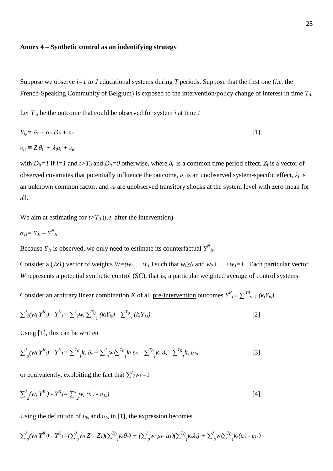#### **Annex 4 – Synthetic control as an indentifying strategy**

Suppose we observe  $i=1$  to J educational systems during T periods. Suppose that the first one (*i.e.* the French-Speaking Community of Belgium) is exposed to the intervention/policy change of interest in time *T0*.

Let  $Y_{i,t}$  be the outcome that could be observed for system *i* at time *t* 

$$
Y_{i,t} = \delta_t + \alpha_{it} D_{it} + v_{it}
$$
  
\n
$$
v_{it} = Z_i \theta_t + \lambda_i \mu_i + \varepsilon_{it}
$$
\n[1]

with  $D_{it} = I$  if  $i = 1$  and  $t > T_0$  and  $D_{it} = 0$  otherwise, where  $\delta_t$  is a common time period effect,  $Z_i$  is a vector of observed covariates that potentially influence the outcome,  $\mu_i$  is an unobserved system-specific effect,  $\lambda_t$  is an unknown common factor, and *εit* are unobserved transitory shocks at the system level with zero mean for all.

We aim at estimating for  $t>T<sub>0</sub>$  (*i.e.* after the intervention)

$$
\alpha_{1t} = Y_{1t} - Y_{1t}^N
$$

Because  $Y_{1t}$  is observed, we only need to estimate its counterfactual  $Y_{1t}^N$ .

Consider a (*Jx1*) vector of weights  $W=(w_2, \ldots, w_J)$  such that  $w_i \ge 0$  and  $w_2 + \ldots + w_J = 1$ . Each particular vector *W* represents a potential synthetic control (SC), that is, a particular weighted average of control systems.

Consider an arbitrary linear combination *K* of all <u>pre-intervention</u> outcomes  $Y^{K}$ <sub>*i*</sub> $\equiv \sum_{s=1}^{T0} (k_i Y_{is})$ 

$$
\sum_{j}^{J} \left\{ w_{i} \, Y^{K}_{i} \right\} - Y^{K}_{j} = \sum_{j}^{J} \left\{ w_{i} \, \sum_{j}^{T} \left( k_{i} Y_{i s} \right) - \sum_{j}^{T} \left( k_{i} Y_{j s} \right) \right\} \tag{2}
$$

Using [1], this can be written

$$
\sum_{j}^{J} (w_i Y^{K}_{i}) - Y^{K}_{I} = \sum_{j}^{T} (k_s \delta_s + \sum_{j}^{J} w_i \sum_{j}^{T} (k_i v_{is} - \sum_{j}^{T} k_s \delta_s - \sum_{j}^{T} k_s v_{Is})
$$
 [3]

or equivalently, exploiting the fact that  $\sum_{i=1}^{J} w_i = 1$ 

$$
\sum_{j}^{J} (w_i Y^{K}_{i}) - Y^{K}_{j} = \sum_{j}^{J} w_i (v_{is} - v_{ls})
$$
 [4]

Using the definition of  $v_{is}$  and  $v_{Is}$  in [1], the expression becomes

$$
\sum_{j}^{J} (w_i Y^{K}_{i}) - Y^{K}_{I} = (\sum_{j}^{J} w_i Z_i - Z_I)(\sum_{j}^{T_0} k_s \theta_s) + (\sum_{j}^{J} w_i \mu_i - \mu_I)(\sum_{j}^{T_0} k_s \lambda_s) + \sum_{j}^{J} w_i \sum_{j}^{T_0} k_s (\varepsilon_{is} - \varepsilon_{Is})
$$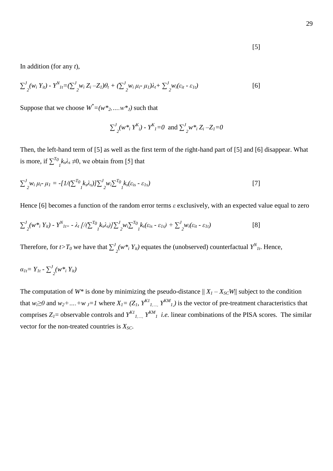$$
[5]
$$

In addition (for any *t*),

$$
\sum_{j}^{J} \langle w_i Y_{it} \rangle - Y_{1t}^{N} = \left( \sum_{j}^{J} w_i Z_i - Z_I \right) \theta_t + \left( \sum_{j}^{J} w_i \mu_i - \mu_I \right) \lambda_t + \sum_{j}^{J} w_i (\varepsilon_{it} - \varepsilon_{It})
$$

Suppose that we choose  $W^*=(w^*_{2},...,w^*_{J})$  such that

$$
\sum_{j}^{J} (w^*_{i} Y^{K}_{i}) - Y^{K}_{j} = 0 \text{ and } \sum_{j}^{J} w^*_{i} Z_{i} - Z_{j} = 0
$$

Then, the left-hand term of [5] as well as the first term of the right-hand part of [5] and [6] disappear. What is more, if  $\sum^{T_0}$  $\int_{I}^{I} k_{s} \lambda_{s} \neq 0$ , we obtain from [5] that

$$
\sum_{j}^{J} w_i \mu_i \cdot \mu_I = -\left[ \frac{I}{\sum_{j}^{T_0} k_s \lambda_s} \right] \sum_{j}^{J} w_i \sum_{j}^{T_0} k_s (\varepsilon_{is} - \varepsilon_{Is}) \tag{7}
$$

Hence [6] becomes a function of the random error terms *ε* exclusively, with an expected value equal to zero

$$
\sum_{j}^{J} \left(w^*_{i} Y_{it}\right) - Y^{N}{}_{It} = -\lambda_{t} \left[\frac{\sqrt{\sum_{j}^{T} b_{j} \lambda_{s}}}{I} \sum_{j}^{J} w_{i} \sum_{j}^{T} v_{j} \left(\varepsilon_{is} - \varepsilon_{1s}\right) + \sum_{j}^{J} w_{i} (\varepsilon_{it} - \varepsilon_{1t}) \right]
$$

Therefore, for *t*> $T_0$  we have that  $\sum$ <sup>*J*</sup>  $\int_2^N (w^*$ <sup>*i*</sup>  $Y$ <sub>*it*</sub></sub>) equates the (unobserved) counterfactual  $Y^N$ <sub>*It*</sub>. Hence,

$$
\alpha_{1t} = Y_{1t} - \sum_{j}^{J} (w^*_{i} Y_{it})
$$

The computation of  $W^*$  is done by minimizing the pseudo-distance  $|| X_I - X_{SC}W||$  subject to the condition that  $w_i \ge 0$  and  $w_2 + ... + w_j = 1$  where  $X_i = (Z_i, Y^{k}I_{i}, Y^{k}I_{i})$  is the vector of pre-treatment characteristics that comprises  $Z_i$  = observable controls and  $Y^{KI}{}_{I,\ldots,I} Y^{KM}{}_{I}$  *i.e.* linear combinations of the PISA scores. The similar vector for the non-treated countries is *XSC*.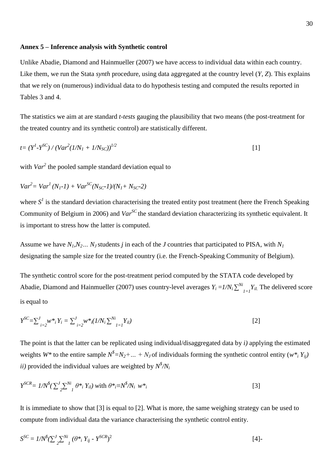#### **Annex 5 – Inference analysis with Synthetic control**

Unlike Abadie, Diamond and Hainmueller (2007) we have access to individual data within each country. Like them, we run the Stata *synth* procedure, using data aggregated at the country level (*Y, Z*). This explains that we rely on (numerous) individual data to do hypothesis testing and computed the results reported in Tables 3 and 4.

The statistics we aim at are standard *t-tests* gauging the plausibility that two means (the post-treatment for the treated country and its synthetic control) are statistically different.

$$
t = (Y^I - Y^{SC}) / (Var^2 (1/N_I + 1/N_{SC}))^{1/2}
$$
 [1]

with *Var*<sup>2</sup> the pooled sample standard deviation equal to

$$
Var^{2} = Var^{1}(N_{1} - 1) + Var^{SC}(N_{SC} - 1)/(N_{1} + N_{SC} - 2)
$$

where  $S<sup>1</sup>$  is the standard deviation characterising the treated entity post treatment (here the French Speaking Community of Belgium in 2006) and *VarSC* the standard deviation characterizing its synthetic equivalent. It is important to stress how the latter is computed.

Assume we have  $N_I N_2$ ...  $N_J$  students *j* in each of the *J* countries that participated to PISA, with  $N_I$ designating the sample size for the treated country (i.e. the French-Speaking Community of Belgium).

The synthetic control score for the post-treatment period computed by the STATA code developed by Abadie, Diamond and Hainmueller (2007) uses country-level averages  $Y_i = I/N_i \sum^{N_i} Y_i$  $Y_{i1}$ *I*-*I*<sup>*Y<sub>il.*</sub></sub> The delivered score</sup> is equal to

$$
Y^{SC} = \sum_{i=2}^{J} w^*_{i} Y_{i} = \sum_{i=2}^{J} w^*_{i} (1/N_{i} \sum_{l=1}^{N_{i}} Y_{il})
$$
\n<sup>(2)</sup>

The point is that the latter can be replicated using individual/disaggregated data by *i)* applying the estimated weights  $W^*$  to the entire sample  $N^* = N_2 + ... + N_J$  of individuals forming the synthetic control entity  $(w^*, Y_{ij})$ *ii*) provided the individual values are weighted by  $N^{\frac{s}{2}}/N_i$ 

$$
Y^{SCR} = 1/N^{\$}(\sum_{2}^{J} \sum_{i}^{Ni} \theta^*_{i} Y_{il}) \text{ with } \theta^*_{i} = N^{\$}/N_{i} w^*_{i}
$$
 [3]

It is immediate to show that [3] is equal to [2]. What is more, the same weighing strategy can be used to compute from individual data the variance characterising the synthetic control entity.

$$
S^{SC} = I/N^{\$}(\sum_{2}^{J} \sum_{i}^{Ni} (\theta^*_{i} Y_{ij} - Y^{SCR})^{2})
$$
 [4]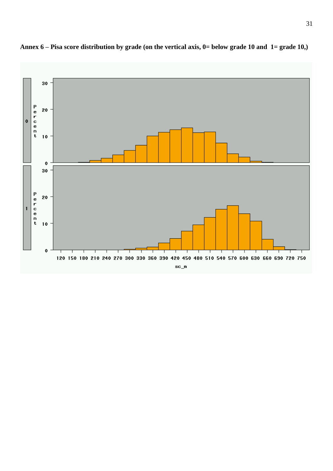

**Annex 6 – Pisa score distribution by grade (on the vertical axis, 0= below grade 10 and 1= grade 10,)**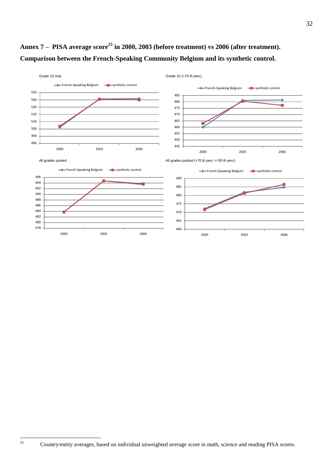

# **Annex 7 – PISA average score<sup>25</sup> in 2000, 2003 (before treatment) vs 2006 (after treatment). Comparison between the French-Speaking Community Belgium and its synthetic control.**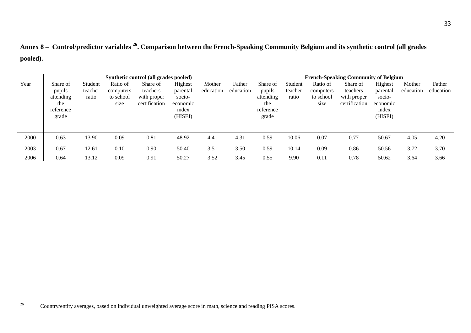**Annex 8 – Control/predictor variables <sup>26</sup> . Comparison between the French-Speaking Community Belgium and its synthetic control (all grades pooled).**

|      | Synthetic control (all grades pooled)                        |                             |                                            |                                                      |                                                               |                     |                     |                                                              |                             | <b>French-Speaking Community of Belgium</b> |                                                      |                                                               |                     |                     |  |  |
|------|--------------------------------------------------------------|-----------------------------|--------------------------------------------|------------------------------------------------------|---------------------------------------------------------------|---------------------|---------------------|--------------------------------------------------------------|-----------------------------|---------------------------------------------|------------------------------------------------------|---------------------------------------------------------------|---------------------|---------------------|--|--|
| Year | Share of<br>pupils<br>attending<br>the<br>reference<br>grade | Student<br>teacher<br>ratio | Ratio of<br>computers<br>to school<br>size | Share of<br>teachers<br>with proper<br>certification | Highest<br>parental<br>socio-<br>economic<br>index<br>(HISEI) | Mother<br>education | Father<br>education | Share of<br>pupils<br>attending<br>the<br>reference<br>grade | Student<br>teacher<br>ratio | Ratio of<br>computers<br>to school<br>size  | Share of<br>teachers<br>with proper<br>certification | Highest<br>parental<br>socio-<br>economic<br>index<br>(HISEI) | Mother<br>education | Father<br>education |  |  |
| 2000 | 0.63                                                         | 13.90                       | 0.09                                       | 0.81                                                 | 48.92                                                         | 4.41                | 4.31                | 0.59                                                         | 10.06                       | 0.07                                        | 0.77                                                 | 50.67                                                         | 4.05                | 4.20                |  |  |
| 2003 | 0.67                                                         | 12.61                       | 0.10                                       | 0.90                                                 | 50.40                                                         | 3.51                | 3.50                | 0.59                                                         | 10.14                       | 0.09                                        | 0.86                                                 | 50.56                                                         | 3.72                | 3.70                |  |  |
| 2006 | 0.64                                                         | 13.12                       | 0.09                                       | 0.91                                                 | 50.27                                                         | 3.52                | 3.45                | 0.55                                                         | 9.90                        | 0.11                                        | 0.78                                                 | 50.62                                                         | 3.64                | 3.66                |  |  |

 $\overline{26}$ <sup>26</sup> Country/entity averages, based on individual unweighted average score in math, science and reading PISA scores.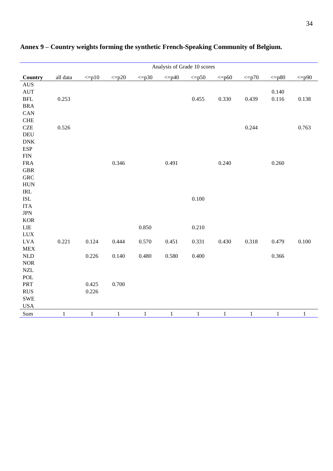|                                    |              |              |             |              | Analysis of Grade 10 scores |              |              |            |              |              |
|------------------------------------|--------------|--------------|-------------|--------------|-----------------------------|--------------|--------------|------------|--------------|--------------|
| Country                            | all data     | $\leq p10$   | $\leq p20$  | $\leq p30$   | $\leq p40$                  | $\leq p50$   | $\leq p60$   | $\leq p70$ | $\leq p80$   | $\leq p90$   |
| $\mathbf{A}\mathbf{U}\mathbf{S}$   |              |              |             |              |                             |              |              |            |              |              |
| <b>AUT</b>                         |              |              |             |              |                             |              |              |            | 0.140        |              |
| <b>BFL</b>                         | 0.253        |              |             |              |                             | 0.455        | 0.330        | 0.439      | $0.116\,$    | 0.138        |
| <b>BRA</b>                         |              |              |             |              |                             |              |              |            |              |              |
| ${\rm CAN}$                        |              |              |             |              |                             |              |              |            |              |              |
| <b>CHE</b>                         |              |              |             |              |                             |              |              |            |              |              |
| $C\!Z\!E$                          | 0.526        |              |             |              |                             |              |              | 0.244      |              | 0.763        |
| <b>DEU</b>                         |              |              |             |              |                             |              |              |            |              |              |
| ${\rm DNK}$                        |              |              |             |              |                             |              |              |            |              |              |
| <b>ESP</b>                         |              |              |             |              |                             |              |              |            |              |              |
| ${\rm FIN}$                        |              |              |             |              |                             |              |              |            |              |              |
| ${\rm FRA}$                        |              |              | 0.346       |              | 0.491                       |              | 0.240        |            | 0.260        |              |
| ${\tt GBR}$                        |              |              |             |              |                             |              |              |            |              |              |
| <b>GRC</b>                         |              |              |             |              |                             |              |              |            |              |              |
| ${\rm HUN}$                        |              |              |             |              |                             |              |              |            |              |              |
| $\ensuremath{\mathsf{IRL}}\xspace$ |              |              |             |              |                             |              |              |            |              |              |
| $\operatorname{ISL}$               |              |              |             |              |                             | 0.100        |              |            |              |              |
| <b>ITA</b>                         |              |              |             |              |                             |              |              |            |              |              |
| <b>JPN</b>                         |              |              |             |              |                             |              |              |            |              |              |
| $\rm KOR$                          |              |              |             |              |                             |              |              |            |              |              |
| LIE                                |              |              |             | 0.850        |                             | 0.210        |              |            |              |              |
| <b>LUX</b>                         |              |              |             |              |                             |              |              |            |              |              |
| <b>LVA</b>                         | 0.221        | 0.124        | 0.444       | 0.570        | 0.451                       | 0.331        | 0.430        | 0.318      | 0.479        | 0.100        |
| ${\rm MEX}$                        |              |              |             |              |                             |              |              |            |              |              |
| $\mbox{NLD}$                       |              | 0.226        | 0.140       | 0.480        | 0.580                       | 0.400        |              |            | 0.366        |              |
| $\rm{NOR}$                         |              |              |             |              |                             |              |              |            |              |              |
| $\ensuremath{\text{NZL}}$          |              |              |             |              |                             |              |              |            |              |              |
| $\operatorname{POL}$               |              |              |             |              |                             |              |              |            |              |              |
| PRT                                |              | 0.425        | 0.700       |              |                             |              |              |            |              |              |
| RUS                                |              | 0.226        |             |              |                             |              |              |            |              |              |
| ${\tt SWE}$                        |              |              |             |              |                             |              |              |            |              |              |
| $_{\mathrm{USA}}$                  |              |              |             |              |                             |              |              |            |              |              |
| $\operatorname{Sum}$               | $\mathbf{1}$ | $\mathbf{1}$ | $\mathbf 1$ | $\mathbf{1}$ | $\mathbf{1}$                | $\mathbf{1}$ | $\mathbf{1}$ | $\,1$      | $\mathbf{1}$ | $\mathbf{1}$ |

### **Annex 9 – Country weights forming the synthetic French-Speaking Community of Belgium.**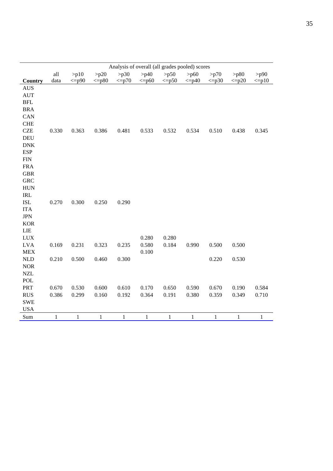|                          |       |            |              | Analysis of overall (all grades pooled) scores |                |                |              |              |              |              |
|--------------------------|-------|------------|--------------|------------------------------------------------|----------------|----------------|--------------|--------------|--------------|--------------|
|                          | all   | $>$ p $10$ | $>$ p20      | $>$ p30                                        | >p40           | $>$ p50        | $>$ p60      | > p70        | $>$ p80      | $>$ p $90$   |
| Country                  | data  | $\leq p90$ | $\leq p80$   | $\leq p70$                                     | $\leq p60$     | $\leq p50$     | $\leq p40$   | $\leq p30$   | $\leq p20$   | $\leq p10$   |
| <b>AUS</b>               |       |            |              |                                                |                |                |              |              |              |              |
| <b>AUT</b>               |       |            |              |                                                |                |                |              |              |              |              |
| $\operatorname{BFL}$     |       |            |              |                                                |                |                |              |              |              |              |
| <b>BRA</b>               |       |            |              |                                                |                |                |              |              |              |              |
| CAN<br><b>CHE</b>        |       |            |              |                                                |                |                |              |              |              |              |
| <b>CZE</b>               | 0.330 | 0.363      | 0.386        | 0.481                                          | 0.533          | 0.532          | 0.534        | 0.510        | 0.438        | 0.345        |
| <b>DEU</b>               |       |            |              |                                                |                |                |              |              |              |              |
| <b>DNK</b>               |       |            |              |                                                |                |                |              |              |              |              |
| <b>ESP</b>               |       |            |              |                                                |                |                |              |              |              |              |
| <b>FIN</b>               |       |            |              |                                                |                |                |              |              |              |              |
| <b>FRA</b>               |       |            |              |                                                |                |                |              |              |              |              |
| <b>GBR</b>               |       |            |              |                                                |                |                |              |              |              |              |
| <b>GRC</b>               |       |            |              |                                                |                |                |              |              |              |              |
| <b>HUN</b>               |       |            |              |                                                |                |                |              |              |              |              |
| <b>IRL</b>               |       |            |              |                                                |                |                |              |              |              |              |
| <b>ISL</b>               | 0.270 | 0.300      | 0.250        | 0.290                                          |                |                |              |              |              |              |
| <b>ITA</b>               |       |            |              |                                                |                |                |              |              |              |              |
| <b>JPN</b>               |       |            |              |                                                |                |                |              |              |              |              |
| <b>KOR</b>               |       |            |              |                                                |                |                |              |              |              |              |
| LIE                      |       |            |              |                                                |                |                |              |              |              |              |
| <b>LUX</b><br><b>LVA</b> | 0.169 | 0.231      | 0.323        | 0.235                                          | 0.280<br>0.580 | 0.280<br>0.184 | 0.990        | 0.500        | 0.500        |              |
| <b>MEX</b>               |       |            |              |                                                | 0.100          |                |              |              |              |              |
| NLD                      | 0.210 | 0.500      | 0.460        | 0.300                                          |                |                |              | 0.220        | 0.530        |              |
| <b>NOR</b>               |       |            |              |                                                |                |                |              |              |              |              |
| <b>NZL</b>               |       |            |              |                                                |                |                |              |              |              |              |
| POL                      |       |            |              |                                                |                |                |              |              |              |              |
| PRT                      | 0.670 | 0.530      | 0.600        | 0.610                                          | 0.170          | 0.650          | 0.590        | 0.670        | 0.190        | 0.584        |
| <b>RUS</b>               | 0.386 | 0.299      | 0.160        | 0.192                                          | 0.364          | 0.191          | 0.380        | 0.359        | 0.349        | 0.710        |
| <b>SWE</b>               |       |            |              |                                                |                |                |              |              |              |              |
| <b>USA</b>               |       |            |              |                                                |                |                |              |              |              |              |
| Sum                      | 1     | 1          | $\mathbf{1}$ | $\mathbf{1}$                                   | $\mathbf{1}$   | $\mathbf{1}$   | $\mathbf{1}$ | $\mathbf{1}$ | $\mathbf{1}$ | $\mathbf{1}$ |